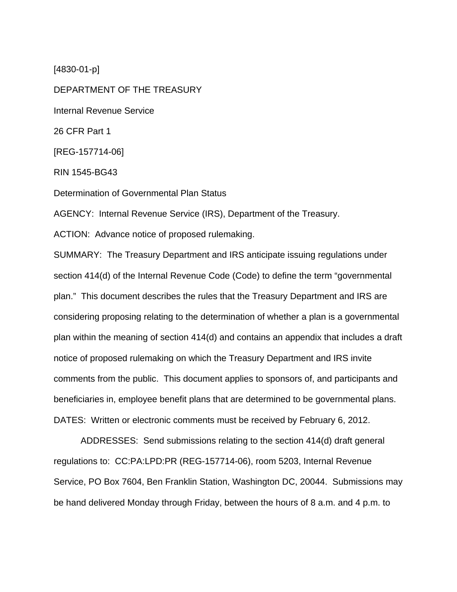[4830-01-p]

DEPARTMENT OF THE TREASURY Internal Revenue Service 26 CFR Part 1 [REG-157714-06] RIN 1545-BG43 Determination of Governmental Plan Status AGENCY: Internal Revenue Service (IRS), Department of the Treasury. ACTION: Advance notice of proposed rulemaking. SUMMARY: The Treasury Department and IRS anticipate issuing regulations under section 414(d) of the Internal Revenue Code (Code) to define the term "governmental plan." This document describes the rules that the Treasury Department and IRS are

considering proposing relating to the determination of whether a plan is a governmental plan within the meaning of section 414(d) and contains an appendix that includes a draft notice of proposed rulemaking on which the Treasury Department and IRS invite comments from the public. This document applies to sponsors of, and participants and beneficiaries in, employee benefit plans that are determined to be governmental plans. DATES: Written or electronic comments must be received by February 6, 2012.

ADDRESSES: Send submissions relating to the section 414(d) draft general regulations to: CC:PA:LPD:PR (REG-157714-06), room 5203, Internal Revenue Service, PO Box 7604, Ben Franklin Station, Washington DC, 20044. Submissions may be hand delivered Monday through Friday, between the hours of 8 a.m. and 4 p.m. to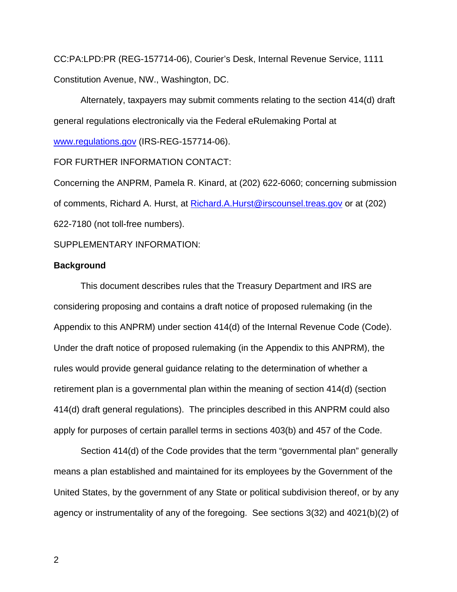CC:PA:LPD:PR (REG-157714-06), Courier's Desk, Internal Revenue Service, 1111 Constitution Avenue, NW., Washington, DC.

Alternately, taxpayers may submit comments relating to the section 414(d) draft general regulations electronically via the Federal eRulemaking Portal at

[www.regulations.gov](http://www.regulations.gov/) (IRS-REG-157714-06).

### FOR FURTHER INFORMATION CONTACT:

Concerning the ANPRM, Pamela R. Kinard, at (202) 622-6060; concerning submission of comments, Richard A. Hurst, at [Richard.A.Hurst@irscounsel.treas.gov](mailto:Richard.A.Hurst@irscounsel.treas.gov) or at (202) 622-7180 (not toll-free numbers).

SUPPLEMENTARY INFORMATION:

#### **Background**

 This document describes rules that the Treasury Department and IRS are considering proposing and contains a draft notice of proposed rulemaking (in the Appendix to this ANPRM) under section 414(d) of the Internal Revenue Code (Code). Under the draft notice of proposed rulemaking (in the Appendix to this ANPRM), the rules would provide general guidance relating to the determination of whether a retirement plan is a governmental plan within the meaning of section 414(d) (section 414(d) draft general regulations). The principles described in this ANPRM could also apply for purposes of certain parallel terms in sections 403(b) and 457 of the Code.

Section 414(d) of the Code provides that the term "governmental plan" generally means a plan established and maintained for its employees by the Government of the United States, by the government of any State or political subdivision thereof, or by any agency or instrumentality of any of the foregoing. See sections 3(32) and 4021(b)(2) of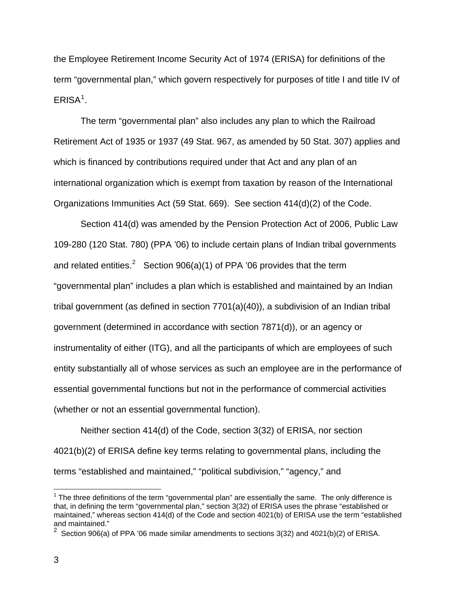the Employee Retirement Income Security Act of 1974 (ERISA) for definitions of the term "governmental plan," which govern respectively for purposes of title I and title IV of  $ERISA<sup>1</sup>$  $ERISA<sup>1</sup>$  $ERISA<sup>1</sup>$ .

The term "governmental plan" also includes any plan to which the Railroad Retirement Act of 1935 or 1937 (49 Stat. 967, as amended by 50 Stat. 307) applies and which is financed by contributions required under that Act and any plan of an international organization which is exempt from taxation by reason of the International Organizations Immunities Act (59 Stat. 669). See section 414(d)(2) of the Code.

 Section 414(d) was amended by the Pension Protection Act of 2006, Public Law 109-280 (120 Stat. 780) (PPA '06) to include certain plans of Indian tribal governments and related entities.<sup>[2](#page-2-1)</sup> Section 906(a)(1) of PPA '06 provides that the term "governmental plan" includes a plan which is established and maintained by an Indian tribal government (as defined in section 7701(a)(40)), a subdivision of an Indian tribal government (determined in accordance with section 7871(d)), or an agency or instrumentality of either (ITG), and all the participants of which are employees of such entity substantially all of whose services as such an employee are in the performance of essential governmental functions but not in the performance of commercial activities (whether or not an essential governmental function).

Neither section 414(d) of the Code, section 3(32) of ERISA, nor section 4021(b)(2) of ERISA define key terms relating to governmental plans, including the terms "established and maintained," "political subdivision," "agency," and

<span id="page-2-0"></span> $1$  The three definitions of the term "governmental plan" are essentially the same. The only difference is that, in defining the term "governmental plan," section 3(32) of ERISA uses the phrase "established or maintained," whereas section 414(d) of the Code and section 4021(b) of ERISA use the term "established and maintained."

<span id="page-2-1"></span><sup>&</sup>lt;sup>2</sup> Section 906(a) of PPA '06 made similar amendments to sections 3(32) and 4021(b)(2) of ERISA.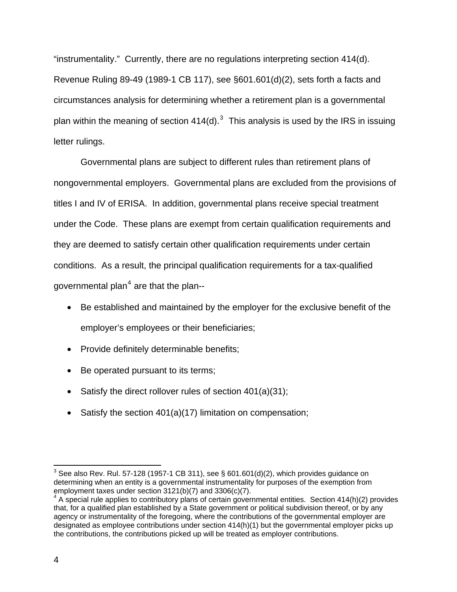"instrumentality." Currently, there are no regulations interpreting section 414(d). Revenue Ruling 89-49 (1989-1 CB 117), see §601.601(d)(2), sets forth a facts and circumstances analysis for determining whether a retirement plan is a governmental plan within the meaning of section 414(d).<sup>[3](#page-3-0)</sup> This analysis is used by the IRS in issuing letter rulings.

Governmental plans are subject to different rules than retirement plans of nongovernmental employers. Governmental plans are excluded from the provisions of titles I and IV of ERISA. In addition, governmental plans receive special treatment under the Code. These plans are exempt from certain qualification requirements and they are deemed to satisfy certain other qualification requirements under certain conditions. As a result, the principal qualification requirements for a tax-qualified governmental plan<sup>[4](#page-3-1)</sup> are that the plan--

- Be established and maintained by the employer for the exclusive benefit of the employer's employees or their beneficiaries;
- Provide definitely determinable benefits;
- Be operated pursuant to its terms;
- Satisfy the direct rollover rules of section 401(a)(31);
- Satisfy the section 401(a)(17) limitation on compensation;

<span id="page-3-0"></span> $^3$  See also Rev. Rul. 57-128 (1957-1 CB 311), see § 601.601(d)(2), which provides guidance on determining when an entity is a governmental instrumentality for purposes of the exemption from employment taxes under section 3121(b)(7) and 3306(c)(7).

<span id="page-3-1"></span> $4 \text{ A}$  special rule applies to contributory plans of certain governmental entities. Section 414(h)(2) provides that, for a qualified plan established by a State government or political subdivision thereof, or by any agency or instrumentality of the foregoing, where the contributions of the governmental employer are designated as employee contributions under section 414(h)(1) but the governmental employer picks up the contributions, the contributions picked up will be treated as employer contributions.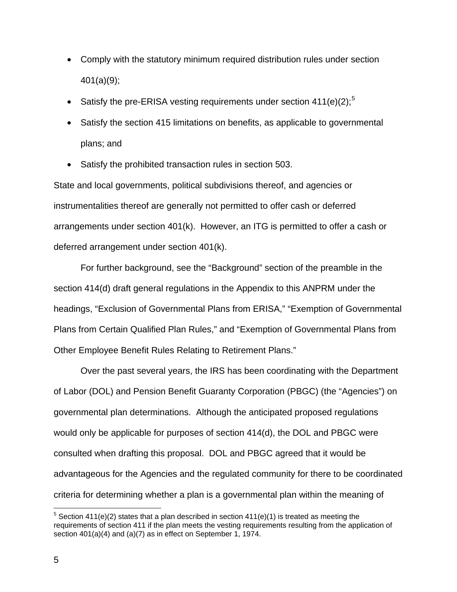- Comply with the statutory minimum required distribution rules under section 401(a)(9);
- Satisfy the pre-ERISA vesting requirements under section  $411(e)(2)$ ;<sup>[5](#page-4-0)</sup>
- Satisfy the section 415 limitations on benefits, as applicable to governmental plans; and
- Satisfy the prohibited transaction rules in section 503.

State and local governments, political subdivisions thereof, and agencies or instrumentalities thereof are generally not permitted to offer cash or deferred arrangements under section 401(k). However, an ITG is permitted to offer a cash or deferred arrangement under section 401(k).

For further background, see the "Background" section of the preamble in the section 414(d) draft general regulations in the Appendix to this ANPRM under the headings, "Exclusion of Governmental Plans from ERISA," "Exemption of Governmental Plans from Certain Qualified Plan Rules," and "Exemption of Governmental Plans from Other Employee Benefit Rules Relating to Retirement Plans."

Over the past several years, the IRS has been coordinating with the Department of Labor (DOL) and Pension Benefit Guaranty Corporation (PBGC) (the "Agencies") on governmental plan determinations. Although the anticipated proposed regulations would only be applicable for purposes of section 414(d), the DOL and PBGC were consulted when drafting this proposal. DOL and PBGC agreed that it would be advantageous for the Agencies and the regulated community for there to be coordinated criteria for determining whether a plan is a governmental plan within the meaning of

<span id="page-4-0"></span><sup>&</sup>lt;sup>5</sup> Section 411(e)(2) states that a plan described in section 411(e)(1) is treated as meeting the requirements of section 411 if the plan meets the vesting requirements resulting from the application of section 401(a)(4) and (a)(7) as in effect on September 1, 1974.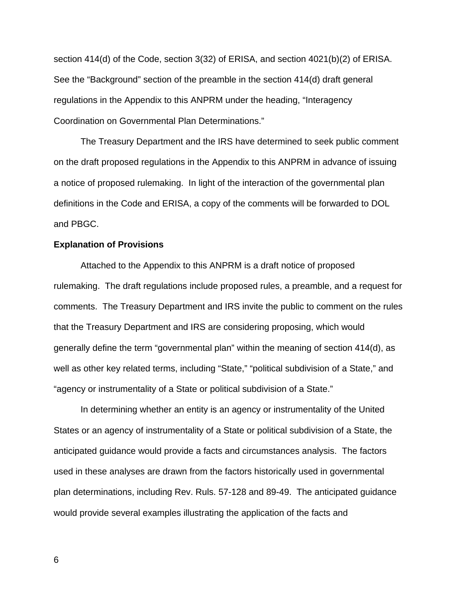section 414(d) of the Code, section 3(32) of ERISA, and section 4021(b)(2) of ERISA. See the "Background" section of the preamble in the section 414(d) draft general regulations in the Appendix to this ANPRM under the heading, "Interagency Coordination on Governmental Plan Determinations."

The Treasury Department and the IRS have determined to seek public comment on the draft proposed regulations in the Appendix to this ANPRM in advance of issuing a notice of proposed rulemaking. In light of the interaction of the governmental plan definitions in the Code and ERISA, a copy of the comments will be forwarded to DOL and PBGC.

#### **Explanation of Provisions**

Attached to the Appendix to this ANPRM is a draft notice of proposed rulemaking. The draft regulations include proposed rules, a preamble, and a request for comments. The Treasury Department and IRS invite the public to comment on the rules that the Treasury Department and IRS are considering proposing, which would generally define the term "governmental plan" within the meaning of section 414(d), as well as other key related terms, including "State," "political subdivision of a State," and "agency or instrumentality of a State or political subdivision of a State."

 In determining whether an entity is an agency or instrumentality of the United States or an agency of instrumentality of a State or political subdivision of a State, the anticipated guidance would provide a facts and circumstances analysis. The factors used in these analyses are drawn from the factors historically used in governmental plan determinations, including Rev. Ruls. 57-128 and 89-49. The anticipated guidance would provide several examples illustrating the application of the facts and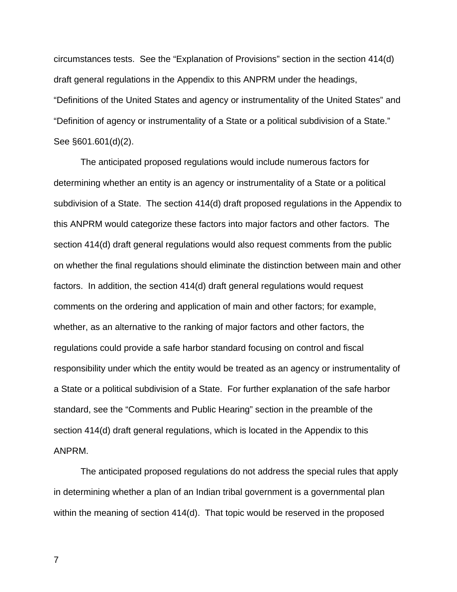circumstances tests. See the "Explanation of Provisions" section in the section 414(d) draft general regulations in the Appendix to this ANPRM under the headings, "Definitions of the United States and agency or instrumentality of the United States" and "Definition of agency or instrumentality of a State or a political subdivision of a State." See §601.601(d)(2).

 The anticipated proposed regulations would include numerous factors for determining whether an entity is an agency or instrumentality of a State or a political subdivision of a State. The section 414(d) draft proposed regulations in the Appendix to this ANPRM would categorize these factors into major factors and other factors. The section 414(d) draft general regulations would also request comments from the public on whether the final regulations should eliminate the distinction between main and other factors. In addition, the section 414(d) draft general regulations would request comments on the ordering and application of main and other factors; for example, whether, as an alternative to the ranking of major factors and other factors, the regulations could provide a safe harbor standard focusing on control and fiscal responsibility under which the entity would be treated as an agency or instrumentality of a State or a political subdivision of a State. For further explanation of the safe harbor standard, see the "Comments and Public Hearing" section in the preamble of the section 414(d) draft general regulations, which is located in the Appendix to this ANPRM.

 The anticipated proposed regulations do not address the special rules that apply in determining whether a plan of an Indian tribal government is a governmental plan within the meaning of section 414(d). That topic would be reserved in the proposed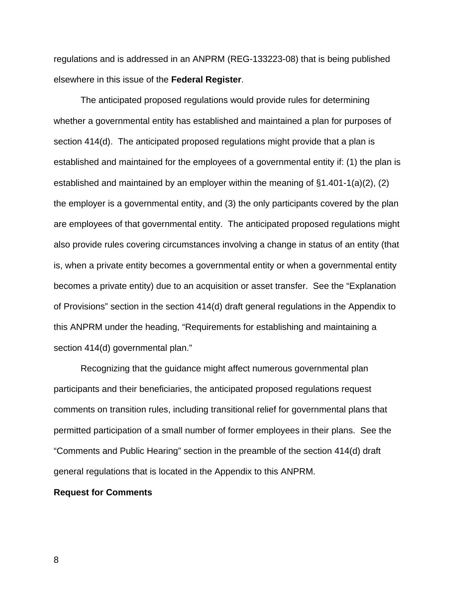regulations and is addressed in an ANPRM (REG-133223-08) that is being published elsewhere in this issue of the **Federal Register**.

 The anticipated proposed regulations would provide rules for determining whether a governmental entity has established and maintained a plan for purposes of section 414(d). The anticipated proposed regulations might provide that a plan is established and maintained for the employees of a governmental entity if: (1) the plan is established and maintained by an employer within the meaning of §1.401-1(a)(2), (2) the employer is a governmental entity, and (3) the only participants covered by the plan are employees of that governmental entity. The anticipated proposed regulations might also provide rules covering circumstances involving a change in status of an entity (that is, when a private entity becomes a governmental entity or when a governmental entity becomes a private entity) due to an acquisition or asset transfer. See the "Explanation of Provisions" section in the section 414(d) draft general regulations in the Appendix to this ANPRM under the heading, "Requirements for establishing and maintaining a section 414(d) governmental plan."

 Recognizing that the guidance might affect numerous governmental plan participants and their beneficiaries, the anticipated proposed regulations request comments on transition rules, including transitional relief for governmental plans that permitted participation of a small number of former employees in their plans. See the "Comments and Public Hearing" section in the preamble of the section 414(d) draft general regulations that is located in the Appendix to this ANPRM.

#### **Request for Comments**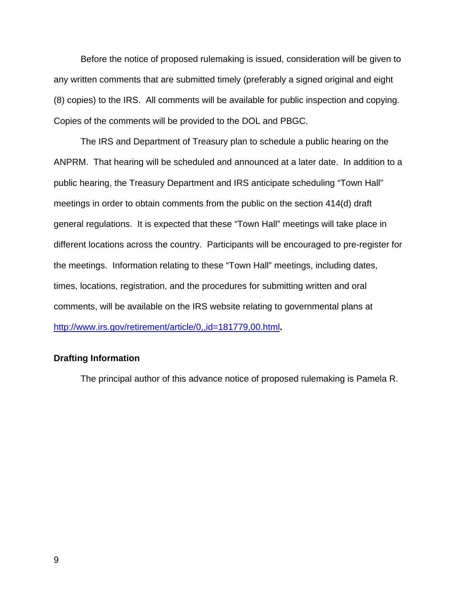Before the notice of proposed rulemaking is issued, consideration will be given to any written comments that are submitted timely (preferably a signed original and eight (8) copies) to the IRS. All comments will be available for public inspection and copying. Copies of the comments will be provided to the DOL and PBGC.

The IRS and Department of Treasury plan to schedule a public hearing on the ANPRM. That hearing will be scheduled and announced at a later date. In addition to a public hearing, the Treasury Department and IRS anticipate scheduling "Town Hall" meetings in order to obtain comments from the public on the section 414(d) draft general regulations. It is expected that these "Town Hall" meetings will take place in different locations across the country. Participants will be encouraged to pre-register for the meetings. Information relating to these "Town Hall" meetings, including dates, times, locations, registration, and the procedures for submitting written and oral comments, will be available on the IRS website relating to governmental plans at <http://www.irs.gov/retirement/article/0,,id=181779,00.html>**.**

### **Drafting Information**

The principal author of this advance notice of proposed rulemaking is Pamela R.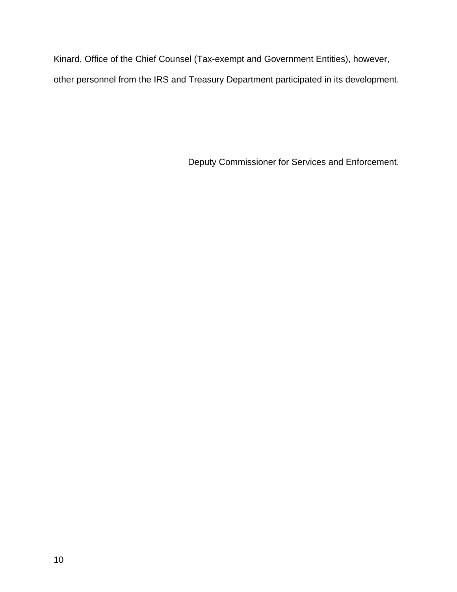Kinard, Office of the Chief Counsel (Tax-exempt and Government Entities), however, other personnel from the IRS and Treasury Department participated in its development.

Deputy Commissioner for Services and Enforcement.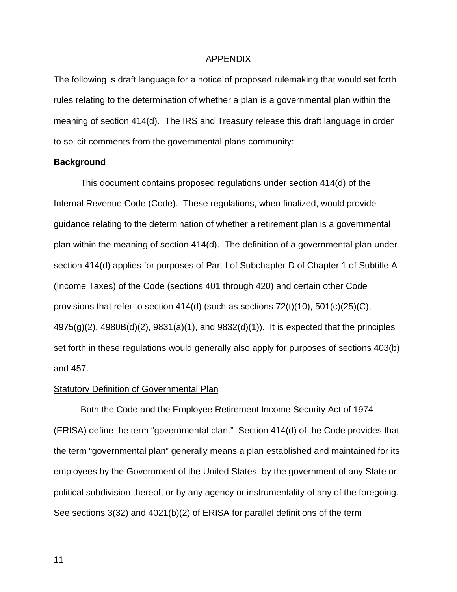#### APPENDIX

The following is draft language for a notice of proposed rulemaking that would set forth rules relating to the determination of whether a plan is a governmental plan within the meaning of section 414(d). The IRS and Treasury release this draft language in order to solicit comments from the governmental plans community:

#### **Background**

 This document contains proposed regulations under section 414(d) of the Internal Revenue Code (Code). These regulations, when finalized, would provide guidance relating to the determination of whether a retirement plan is a governmental plan within the meaning of section 414(d). The definition of a governmental plan under section 414(d) applies for purposes of Part I of Subchapter D of Chapter 1 of Subtitle A (Income Taxes) of the Code (sections 401 through 420) and certain other Code provisions that refer to section 414(d) (such as sections 72(t)(10), 501(c)(25)(C), 4975(g)(2), 4980B(d)(2), 9831(a)(1), and 9832(d)(1)). It is expected that the principles set forth in these regulations would generally also apply for purposes of sections 403(b) and 457.

#### Statutory Definition of Governmental Plan

Both the Code and the Employee Retirement Income Security Act of 1974 (ERISA) define the term "governmental plan." Section 414(d) of the Code provides that the term "governmental plan" generally means a plan established and maintained for its employees by the Government of the United States, by the government of any State or political subdivision thereof, or by any agency or instrumentality of any of the foregoing. See sections 3(32) and 4021(b)(2) of ERISA for parallel definitions of the term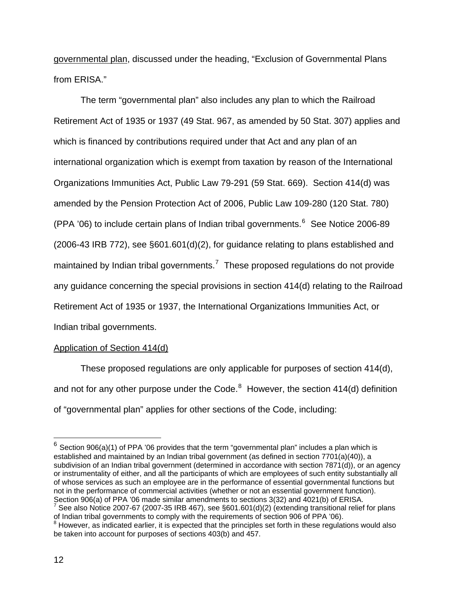governmental plan, discussed under the heading, "Exclusion of Governmental Plans from ERISA."

The term "governmental plan" also includes any plan to which the Railroad Retirement Act of 1935 or 1937 (49 Stat. 967, as amended by 50 Stat. 307) applies and which is financed by contributions required under that Act and any plan of an international organization which is exempt from taxation by reason of the International Organizations Immunities Act, Public Law 79-291 (59 Stat. 669). Section 414(d) was amended by the Pension Protection Act of 2006, Public Law 109-280 (120 Stat. 780) (PPA  $'06$  $'06$ ) to include certain plans of Indian tribal governments. $^6$  See Notice 2006-89  $(2006-43 \text{ IRB } 772)$ , see  $\S601.601(d)(2)$ , for guidance relating to plans established and maintained by Indian tribal governments.<sup>[7](#page-11-1)</sup> These proposed regulations do not provide any guidance concerning the special provisions in section 414(d) relating to the Railroad Retirement Act of 1935 or 1937, the International Organizations Immunities Act, or Indian tribal governments.

## Application of Section 414(d)

These proposed regulations are only applicable for purposes of section 414(d), and not for any other purpose under the Code. $8$  However, the section 414(d) definition of "governmental plan" applies for other sections of the Code, including:

<span id="page-11-0"></span> $^6$  Section 906(a)(1) of PPA '06 provides that the term "governmental plan" includes a plan which is established and maintained by an Indian tribal government (as defined in section 7701(a)(40)), a subdivision of an Indian tribal government (determined in accordance with section 7871(d)), or an agency or instrumentality of either, and all the participants of which are employees of such entity substantially all of whose services as such an employee are in the performance of essential governmental functions but not in the performance of commercial activities (whether or not an essential government function). Section 906(a) of PPA '06 made similar amendments to sections 3(32) and 4021(b) of ERISA.

<span id="page-11-1"></span>See also Notice 2007-67 (2007-35 IRB 467), see §601.601(d)(2) (extending transitional relief for plans of Indian tribal governments to comply with the requirements of section 906 of PPA '06). 8

<span id="page-11-2"></span> $8$  However, as indicated earlier, it is expected that the principles set forth in these regulations would also be taken into account for purposes of sections 403(b) and 457.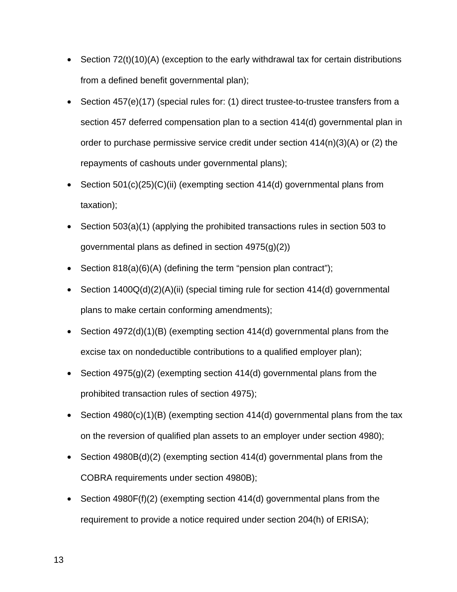- Section 72(t)(10)(A) (exception to the early withdrawal tax for certain distributions from a defined benefit governmental plan);
- Section 457(e)(17) (special rules for: (1) direct trustee-to-trustee transfers from a section 457 deferred compensation plan to a section 414(d) governmental plan in order to purchase permissive service credit under section 414(n)(3)(A) or (2) the repayments of cashouts under governmental plans);
- Section 501(c)(25)(C)(ii) (exempting section 414(d) governmental plans from taxation);
- Section 503(a)(1) (applying the prohibited transactions rules in section 503 to governmental plans as defined in section 4975(g)(2))
- Section 818(a)(6)(A) (defining the term "pension plan contract");
- Section 1400Q(d)(2)(A)(ii) (special timing rule for section 414(d) governmental plans to make certain conforming amendments);
- Section 4972(d)(1)(B) (exempting section 414(d) governmental plans from the excise tax on nondeductible contributions to a qualified employer plan);
- Section  $4975(g)(2)$  (exempting section  $414(d)$  governmental plans from the prohibited transaction rules of section 4975);
- Section 4980(c)(1)(B) (exempting section 414(d) governmental plans from the tax on the reversion of qualified plan assets to an employer under section 4980);
- Section 4980B(d)(2) (exempting section 414(d) governmental plans from the COBRA requirements under section 4980B);
- Section 4980F(f)(2) (exempting section 414(d) governmental plans from the requirement to provide a notice required under section 204(h) of ERISA);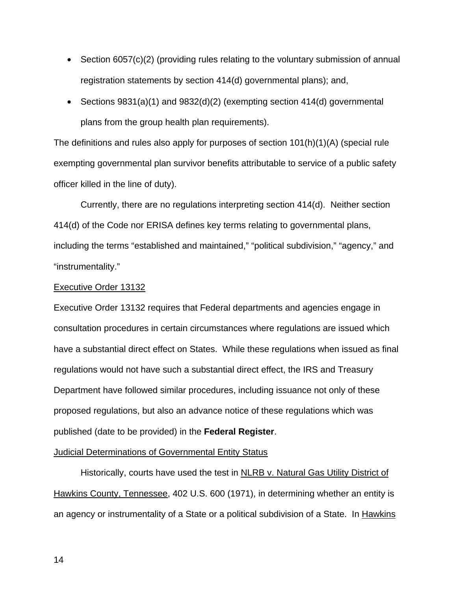- Section 6057(c)(2) (providing rules relating to the voluntary submission of annual registration statements by section 414(d) governmental plans); and,
- Sections 9831(a)(1) and 9832(d)(2) (exempting section 414(d) governmental plans from the group health plan requirements).

The definitions and rules also apply for purposes of section 101(h)(1)(A) (special rule exempting governmental plan survivor benefits attributable to service of a public safety officer killed in the line of duty).

Currently, there are no regulations interpreting section 414(d). Neither section 414(d) of the Code nor ERISA defines key terms relating to governmental plans, including the terms "established and maintained," "political subdivision," "agency," and "instrumentality."

#### Executive Order 13132

Executive Order 13132 requires that Federal departments and agencies engage in consultation procedures in certain circumstances where regulations are issued which have a substantial direct effect on States. While these regulations when issued as final regulations would not have such a substantial direct effect, the IRS and Treasury Department have followed similar procedures, including issuance not only of these proposed regulations, but also an advance notice of these regulations which was published (date to be provided) in the **Federal Register**.

#### Judicial Determinations of Governmental Entity Status

 Historically, courts have used the test in NLRB v. Natural Gas Utility District of Hawkins County, Tennessee, 402 U.S. 600 (1971), in determining whether an entity is an agency or instrumentality of a State or a political subdivision of a State. In Hawkins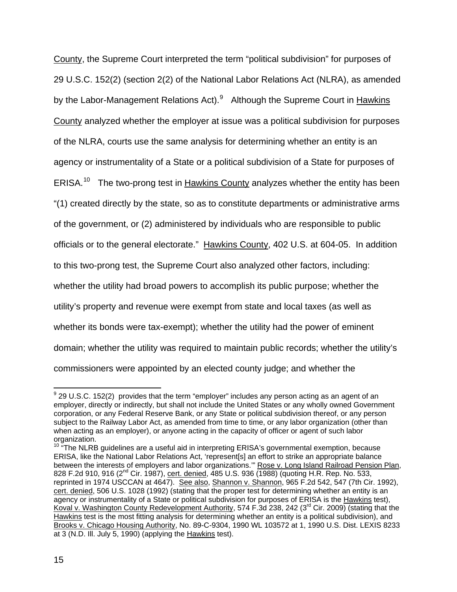County, the Supreme Court interpreted the term "political subdivision" for purposes of 29 U.S.C. 152(2) (section 2(2) of the National Labor Relations Act (NLRA), as amended by the Labor-Management Relations Act).<sup>[9](#page-14-0)</sup> Although the Supreme Court in Hawkins County analyzed whether the employer at issue was a political subdivision for purposes of the NLRA, courts use the same analysis for determining whether an entity is an agency or instrumentality of a State or a political subdivision of a State for purposes of ERISA.<sup>[10](#page-14-1)</sup> The two-prong test in Hawkins County analyzes whether the entity has been "(1) created directly by the state, so as to constitute departments or administrative arms of the government, or (2) administered by individuals who are responsible to public officials or to the general electorate." Hawkins County, 402 U.S. at 604-05. In addition to this two-prong test, the Supreme Court also analyzed other factors, including: whether the utility had broad powers to accomplish its public purpose; whether the utility's property and revenue were exempt from state and local taxes (as well as whether its bonds were tax-exempt); whether the utility had the power of eminent domain; whether the utility was required to maintain public records; whether the utility's commissioners were appointed by an elected county judge; and whether the

<span id="page-14-0"></span> 9 29 U.S.C. 152(2) provides that the term "employer" includes any person acting as an agent of an employer, directly or indirectly, but shall not include the United States or any wholly owned Government corporation, or any Federal Reserve Bank, or any State or political subdivision thereof, or any person subject to the Railway Labor Act, as amended from time to time, or any labor organization (other than when acting as an employer), or anyone acting in the capacity of officer or agent of such labor organization.

<span id="page-14-1"></span> $10$  "The NLRB guidelines are a useful aid in interpreting ERISA's governmental exemption, because ERISA, like the National Labor Relations Act, 'represent[s] an effort to strike an appropriate balance between the interests of employers and labor organizations." Rose v. Long Island Railroad Pension Plan, 828 F.2d 910, 916 (2<sup>nd</sup> Cir. 1987), cert. denied, 485 U.S. 936 (1988) (quoting H.R. Rep. No. 533, reprinted in 1974 USCCAN at 4647). See also, Shannon v. Shannon, 965 F.2d 542, 547 (7th Cir. 1992), cert. denied, 506 U.S. 1028 (1992) (stating that the proper test for determining whether an entity is an agency or instrumentality of a State or political subdivision for purposes of ERISA is the Hawkins test), Koval v. Washington County Redevelopment Authority, 574 F.3d 238, 242 (3<sup>rd</sup> Cir. 2009) (stating that the Hawkins test is the most fitting analysis for determining whether an entity is a political subdivision), and Brooks v. Chicago Housing Authority, No. 89-C-9304, 1990 WL 103572 at 1, 1990 U.S. Dist. LEXIS 8233 at 3 (N.D. Ill. July 5, 1990) (applying the Hawkins test).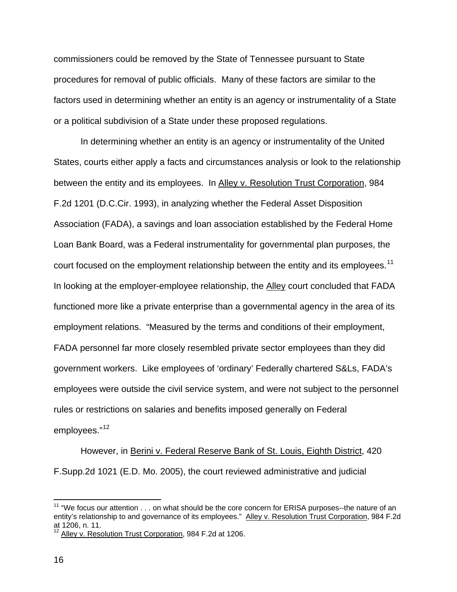commissioners could be removed by the State of Tennessee pursuant to State procedures for removal of public officials. Many of these factors are similar to the factors used in determining whether an entity is an agency or instrumentality of a State or a political subdivision of a State under these proposed regulations.

In determining whether an entity is an agency or instrumentality of the United States, courts either apply a facts and circumstances analysis or look to the relationship between the entity and its employees. In Alley v. Resolution Trust Corporation, 984 F.2d 1201 (D.C.Cir. 1993), in analyzing whether the Federal Asset Disposition Association (FADA), a savings and loan association established by the Federal Home Loan Bank Board, was a Federal instrumentality for governmental plan purposes, the court focused on the employment relationship between the entity and its employees.<sup>[11](#page-15-0)</sup> In looking at the employer-employee relationship, the Alley court concluded that FADA functioned more like a private enterprise than a governmental agency in the area of its employment relations. "Measured by the terms and conditions of their employment, FADA personnel far more closely resembled private sector employees than they did government workers. Like employees of 'ordinary' Federally chartered S&Ls, FADA's employees were outside the civil service system, and were not subject to the personnel rules or restrictions on salaries and benefits imposed generally on Federal employees."<sup>[12](#page-15-1)</sup>

However, in Berini v. Federal Reserve Bank of St. Louis, Eighth District, 420 F.Supp.2d 1021 (E.D. Mo. 2005), the court reviewed administrative and judicial

<span id="page-15-0"></span><sup>&</sup>lt;sup>11</sup> "We focus our attention  $\dots$  on what should be the core concern for ERISA purposes--the nature of an entity's relationship to and governance of its employees." Alley v. Resolution Trust Corporation, 984 F.2d at 1206, n. 11.

<span id="page-15-1"></span><sup>12</sup> Alley v. Resolution Trust Corporation, 984 F.2d at 1206.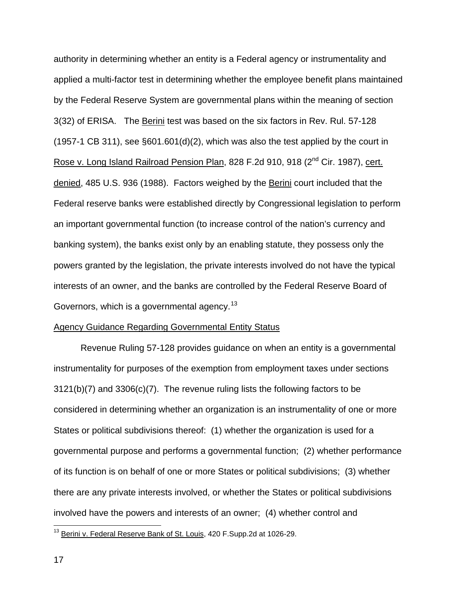authority in determining whether an entity is a Federal agency or instrumentality and applied a multi-factor test in determining whether the employee benefit plans maintained by the Federal Reserve System are governmental plans within the meaning of section 3(32) of ERISA. The Berini test was based on the six factors in Rev. Rul. 57-128 (1957-1 CB 311), see §601.601(d)(2), which was also the test applied by the court in Rose v. Long Island Railroad Pension Plan, 828 F.2d 910, 918 (2<sup>nd</sup> Cir. 1987), cert. denied, 485 U.S. 936 (1988). Factors weighed by the Berini court included that the Federal reserve banks were established directly by Congressional legislation to perform an important governmental function (to increase control of the nation's currency and banking system), the banks exist only by an enabling statute, they possess only the powers granted by the legislation, the private interests involved do not have the typical interests of an owner, and the banks are controlled by the Federal Reserve Board of Governors, which is a governmental agency.<sup>[13](#page-16-0)</sup>

#### Agency Guidance Regarding Governmental Entity Status

 Revenue Ruling 57-128 provides guidance on when an entity is a governmental instrumentality for purposes of the exemption from employment taxes under sections 3121(b)(7) and 3306(c)(7). The revenue ruling lists the following factors to be considered in determining whether an organization is an instrumentality of one or more States or political subdivisions thereof: (1) whether the organization is used for a governmental purpose and performs a governmental function; (2) whether performance of its function is on behalf of one or more States or political subdivisions; (3) whether there are any private interests involved, or whether the States or political subdivisions involved have the powers and interests of an owner; (4) whether control and

<span id="page-16-0"></span><sup>&</sup>lt;sup>13</sup> Berini v. Federal Reserve Bank of St. Louis, 420 F.Supp.2d at 1026-29.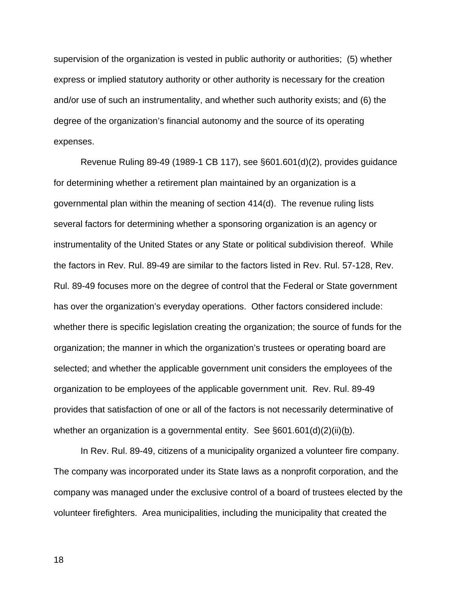supervision of the organization is vested in public authority or authorities; (5) whether express or implied statutory authority or other authority is necessary for the creation and/or use of such an instrumentality, and whether such authority exists; and (6) the degree of the organization's financial autonomy and the source of its operating expenses.

 Revenue Ruling 89-49 (1989-1 CB 117), see §601.601(d)(2), provides guidance for determining whether a retirement plan maintained by an organization is a governmental plan within the meaning of section 414(d). The revenue ruling lists several factors for determining whether a sponsoring organization is an agency or instrumentality of the United States or any State or political subdivision thereof. While the factors in Rev. Rul. 89-49 are similar to the factors listed in Rev. Rul. 57-128, Rev. Rul. 89-49 focuses more on the degree of control that the Federal or State government has over the organization's everyday operations. Other factors considered include: whether there is specific legislation creating the organization; the source of funds for the organization; the manner in which the organization's trustees or operating board are selected; and whether the applicable government unit considers the employees of the organization to be employees of the applicable government unit. Rev. Rul. 89-49 provides that satisfaction of one or all of the factors is not necessarily determinative of whether an organization is a governmental entity. See  $\S601.601(d)(2)(ii)(b)$ .

 In Rev. Rul. 89-49, citizens of a municipality organized a volunteer fire company. The company was incorporated under its State laws as a nonprofit corporation, and the company was managed under the exclusive control of a board of trustees elected by the volunteer firefighters. Area municipalities, including the municipality that created the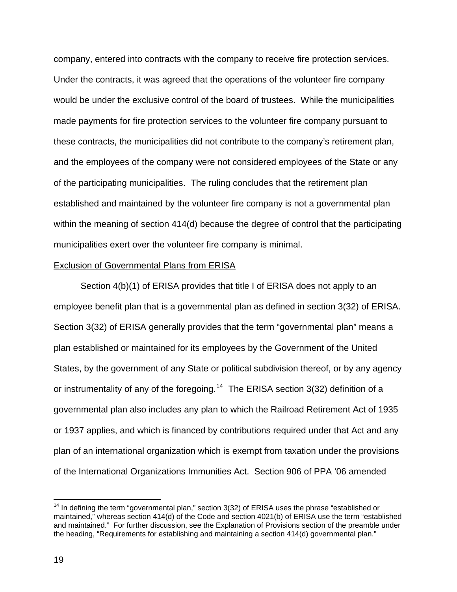company, entered into contracts with the company to receive fire protection services. Under the contracts, it was agreed that the operations of the volunteer fire company would be under the exclusive control of the board of trustees. While the municipalities made payments for fire protection services to the volunteer fire company pursuant to these contracts, the municipalities did not contribute to the company's retirement plan, and the employees of the company were not considered employees of the State or any of the participating municipalities. The ruling concludes that the retirement plan established and maintained by the volunteer fire company is not a governmental plan within the meaning of section 414(d) because the degree of control that the participating municipalities exert over the volunteer fire company is minimal.

#### Exclusion of Governmental Plans from ERISA

Section 4(b)(1) of ERISA provides that title I of ERISA does not apply to an employee benefit plan that is a governmental plan as defined in section 3(32) of ERISA. Section 3(32) of ERISA generally provides that the term "governmental plan" means a plan established or maintained for its employees by the Government of the United States, by the government of any State or political subdivision thereof, or by any agency or instrumentality of any of the foregoing.<sup>[14](#page-18-0)</sup> The ERISA section 3(32) definition of a governmental plan also includes any plan to which the Railroad Retirement Act of 1935 or 1937 applies, and which is financed by contributions required under that Act and any plan of an international organization which is exempt from taxation under the provisions of the International Organizations Immunities Act. Section 906 of PPA '06 amended

<span id="page-18-0"></span> $14$  In defining the term "governmental plan," section 3(32) of ERISA uses the phrase "established or maintained," whereas section 414(d) of the Code and section 4021(b) of ERISA use the term "established and maintained." For further discussion, see the Explanation of Provisions section of the preamble under the heading, "Requirements for establishing and maintaining a section 414(d) governmental plan."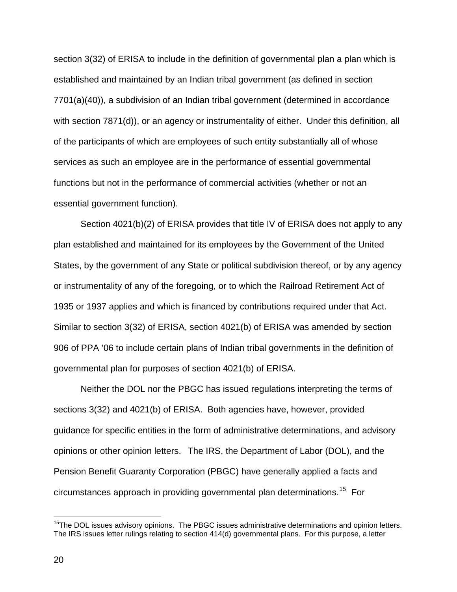section 3(32) of ERISA to include in the definition of governmental plan a plan which is established and maintained by an Indian tribal government (as defined in section 7701(a)(40)), a subdivision of an Indian tribal government (determined in accordance with section 7871(d)), or an agency or instrumentality of either. Under this definition, all of the participants of which are employees of such entity substantially all of whose services as such an employee are in the performance of essential governmental functions but not in the performance of commercial activities (whether or not an essential government function).

Section 4021(b)(2) of ERISA provides that title IV of ERISA does not apply to any plan established and maintained for its employees by the Government of the United States, by the government of any State or political subdivision thereof, or by any agency or instrumentality of any of the foregoing, or to which the Railroad Retirement Act of 1935 or 1937 applies and which is financed by contributions required under that Act. Similar to section 3(32) of ERISA, section 4021(b) of ERISA was amended by section 906 of PPA '06 to include certain plans of Indian tribal governments in the definition of governmental plan for purposes of section 4021(b) of ERISA.

Neither the DOL nor the PBGC has issued regulations interpreting the terms of sections 3(32) and 4021(b) of ERISA. Both agencies have, however, provided guidance for specific entities in the form of administrative determinations, and advisory opinions or other opinion letters. The IRS, the Department of Labor (DOL), and the Pension Benefit Guaranty Corporation (PBGC) have generally applied a facts and circumstances approach in providing governmental plan determinations.[15](#page-19-0) For

<span id="page-19-0"></span><sup>&</sup>lt;sup>15</sup>The DOL issues advisory opinions. The PBGC issues administrative determinations and opinion letters. The IRS issues letter rulings relating to section 414(d) governmental plans. For this purpose, a letter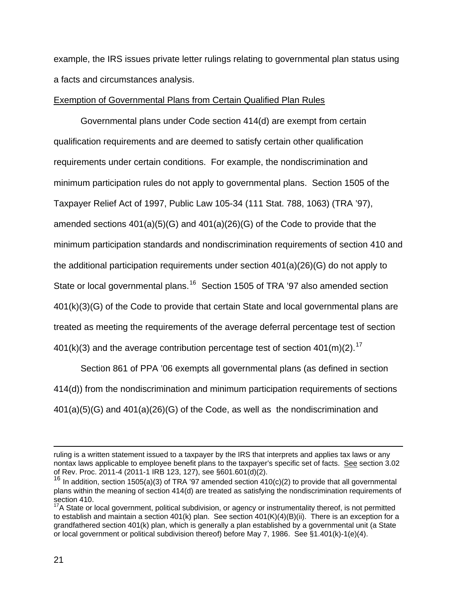example, the IRS issues private letter rulings relating to governmental plan status usin g a facts and circumstances analy sis.

### Exemption of Governmental Plans from Certain Qualified Plan Rules

Governmental plans under Code section 414(d) are exempt from certain qualification requirements and are deemed to satisfy certain other qualification requirements under certain conditions. For example, the nondiscrimination and minimum participation rules do not apply to governmental plans. Section 1505 of the Taxpayer Relief Act of 1997, Public Law 105-34 (111 Stat. 788, 1063) (TRA '97), amended sections 401(a)(5)(G) and 401(a)(26)(G) of the Code to provide that the minimum participation standards and nondiscrimination requirements of section 410 and the additional participation requirements under section 401(a)(26)(G) do not apply to State or local governmental plans.<sup>[16](#page-20-0)</sup> Section 1505 of TRA '97 also amended section 401(k)(3)(G) of the Code to provide that certain State and local governmental plans are treated as meeting the requirements of the average deferral percentage test of section 401(k)(3) and the average contribution percentage test of section  $401(m)(2)$ .<sup>[17](#page-20-1)</sup>

Section 861 of PPA '06 exempts all governmental plans (as defined in section 414(d)) from the nondiscrimination and minimum participation requirements of sections 401(a)(5)(G) and 401(a)(26)(G) of the Code, as well as the nondiscrimination and

ruling is a written statement issued to a taxpayer by the IRS that interprets and applies tax laws or any nontax laws applicable to employee benefit plans to the taxpayer's specific set of facts. See section 3.02 of Rev. Proc. 2011-4 (2011-1 IRB 123, 127), see §601.601(d)(2).

<span id="page-20-0"></span><sup>&</sup>lt;sup>16</sup> In addition, section 1505(a)(3) of TRA '97 amended section 410(c)(2) to provide that all governmental plans within the meaning of section 414(d) are treated as satisfying the nondiscrimination requirements of section 410.

<span id="page-20-1"></span> $17A$  State or local government, political subdivision, or agency or instrumentality thereof, is not permitted to establish and maintain a section 401(k) plan. See section 401(K)(4)(B)(ii). There is an exception for a grandfathered section 401(k) plan, which is generally a plan established by a governmental unit (a State or local government or political subdivision thereof) before May 7, 1986. See §1.401(k)-1(e)(4).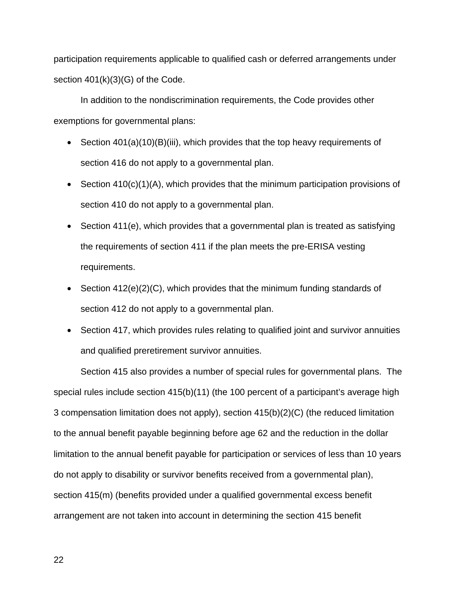participation requirements applicable to qualified cash or deferred arrangements under section  $401(k)(3)(G)$  of the Code.

 In addition to the nondiscrimination requirements, the Code provides other exemptions for governmental plans:

- Section 401(a)(10)(B)(iii), which provides that the top heavy requirements of section 416 do not apply to a governmental plan.
- Section 410(c)(1)(A), which provides that the minimum participation provisions of section 410 do not apply to a governmental plan.
- Section 411(e), which provides that a governmental plan is treated as satisfying the requirements of section 411 if the plan meets the pre-ERISA vesting requirements.
- Section  $412(e)(2)(C)$ , which provides that the minimum funding standards of section 412 do not apply to a governmental plan.
- Section 417, which provides rules relating to qualified joint and survivor annuities and qualified preretirement survivor annuities.

 Section 415 also provides a number of special rules for governmental plans. The special rules include section 415(b)(11) (the 100 percent of a participant's average high 3 compensation limitation does not apply), section 415(b)(2)(C) (the reduced limitation to the annual benefit payable beginning before age 62 and the reduction in the dollar limitation to the annual benefit payable for participation or services of less than 10 years do not apply to disability or survivor benefits received from a governmental plan), section 415(m) (benefits provided under a qualified governmental excess benefit arrangement are not taken into account in determining the section 415 benefit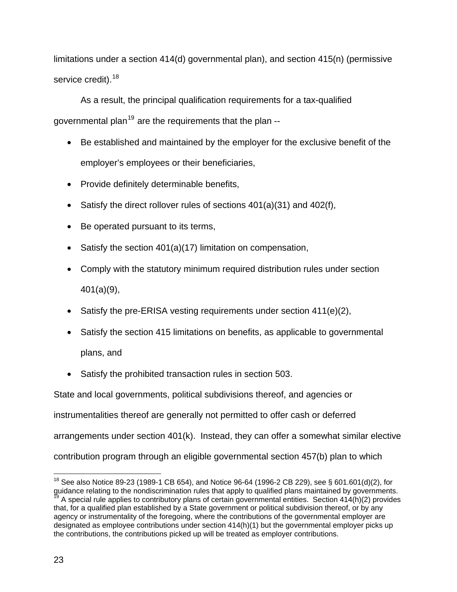limitations under a section 414(d) governmental plan), and section 415(n) (permissive service credit).<sup>[18](#page-22-0)</sup>

As a result, the principal qualification requirements for a tax-qualified governmental plan<sup>[19](#page-22-1)</sup> are the requirements that the plan  $-$ 

- Be established and maintained by the employer for the exclusive benefit of the employer's employees or their beneficiaries,
- Provide definitely determinable benefits,
- Satisfy the direct rollover rules of sections  $401(a)(31)$  and  $402(f)$ ,
- Be operated pursuant to its terms,
- Satisfy the section 401(a)(17) limitation on compensation,
- Comply with the statutory minimum required distribution rules under section 401(a)(9),
- Satisfy the pre-ERISA vesting requirements under section  $411(e)(2)$ ,
- Satisfy the section 415 limitations on benefits, as applicable to governmental plans, and
- Satisfy the prohibited transaction rules in section 503.

State and local governments, political subdivisions thereof, and agencies or instrumentalities thereof are generally not permitted to offer cash or deferred arrangements under section 401(k). Instead, they can offer a somewhat similar elective contribution program through an eligible governmental section 457(b) plan to which

<span id="page-22-1"></span><span id="page-22-0"></span><sup>&</sup>lt;sup>18</sup> See also Notice 89-23 (1989-1 CB 654), and Notice 96-64 (1996-2 CB 229), see § 601.601(d)(2), for guidance relating to the nondiscrimination rules that apply to qualified plans maintained by governments.<br><sup>19</sup> A special rule applies to contributory plans of certain governmental entities. Section 414(h)(2) provides that, for a qualified plan established by a State government or political subdivision thereof, or by any agency or instrumentality of the foregoing, where the contributions of the governmental employer are designated as employee contributions under section 414(h)(1) but the governmental employer picks up the contributions, the contributions picked up will be treated as employer contributions.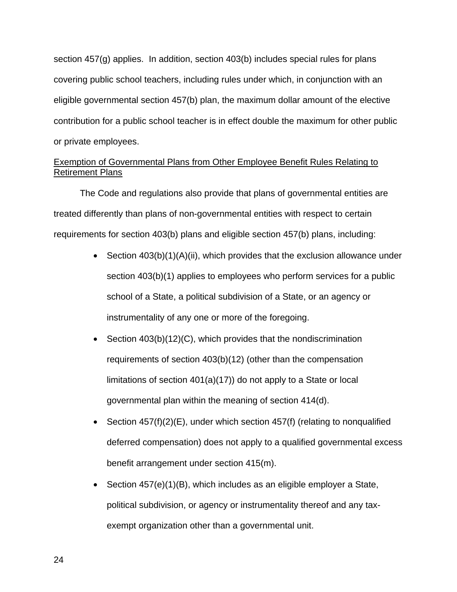section 457(g) applies. In addition, section 403(b) includes special rules for plans covering public school teachers, including rules under which, in conjunction with an eligible governmental section 457(b) plan, the maximum dollar amount of the elective contribution for a public school teacher is in effect double the maximum for other public or private employees.

# Exemption of Governmental Plans from Other Employee Benefit Rules Relating to Retirement Plans

The Code and regulations also provide that plans of governmental entities are treated differently than plans of non-governmental entities with respect to certain requirements for section 403(b) plans and eligible section 457(b) plans, including:

- Section 403(b)(1)(A)(ii), which provides that the exclusion allowance under section 403(b)(1) applies to employees who perform services for a public school of a State, a political subdivision of a State, or an agency or instrumentality of any one or more of the foregoing.
- Section 403(b)(12)(C), which provides that the nondiscrimination requirements of section 403(b)(12) (other than the compensation limitations of section 401(a)(17)) do not apply to a State or local governmental plan within the meaning of section 414(d).
- Section  $457(f)(2)(E)$ , under which section  $457(f)$  (relating to nonqualified deferred compensation) does not apply to a qualified governmental excess benefit arrangement under section 415(m).
- Section 457(e)(1)(B), which includes as an eligible employer a State, political subdivision, or agency or instrumentality thereof and any taxexempt organization other than a governmental unit.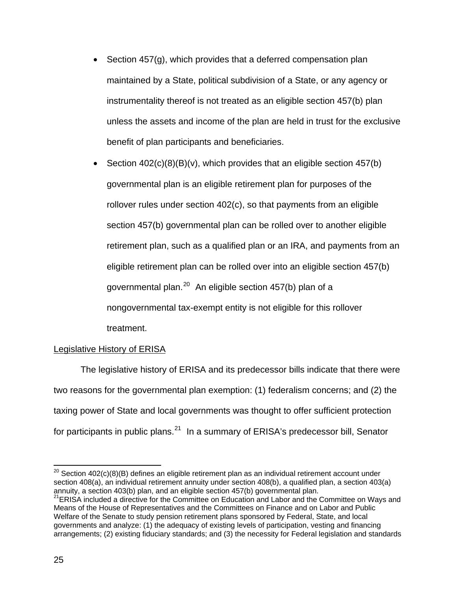- Section 457(g), which provides that a deferred compensation plan maintained by a State, political subdivision of a State, or any agency or instrumentality thereof is not treated as an eligible section 457(b) plan unless the assets and income of the plan are held in trust for the exclusive benefit of plan participants and beneficiaries.
- Section  $402(c)(8)(B)(v)$ , which provides that an eligible section  $457(b)$ governmental plan is an eligible retirement plan for purposes of the rollover rules under section 402(c), so that payments from an eligible section 457(b) governmental plan can be rolled over to another eligible retirement plan, such as a qualified plan or an IRA, and payments from an eligible retirement plan can be rolled over into an eligible section 457(b) governmental plan.<sup>[20](#page-24-0)</sup> An eligible section  $457(b)$  plan of a nongovernmental tax-exempt entity is not eligible for this rollover treatment.

# Legislative History of ERISA

The legislative history of ERISA and its predecessor bills indicate that there were two reasons for the governmental plan exemption: (1) federalism concerns; and (2) the taxing power of State and local governments was thought to offer sufficient protection for participants in public plans. $^{21}$  $^{21}$  $^{21}$  In a summary of ERISA's predecessor bill, Senator

<span id="page-24-0"></span><sup>&</sup>lt;sup>20</sup> Section 402(c)(8)(B) defines an eligible retirement plan as an individual retirement account under section 408(a), an individual retirement annuity under section 408(b), a qualified plan, a section 403(a) annuity, a section 403(b) plan, and an eligible section 457(b) governmental plan.

<span id="page-24-1"></span><sup>&</sup>lt;sup>21</sup>ERISA included a directive for the Committee on Education and Labor and the Committee on Ways and Means of the House of Representatives and the Committees on Finance and on Labor and Public Welfare of the Senate to study pension retirement plans sponsored by Federal, State, and local governments and analyze: (1) the adequacy of existing levels of participation, vesting and financing arrangements; (2) existing fiduciary standards; and (3) the necessity for Federal legislation and standards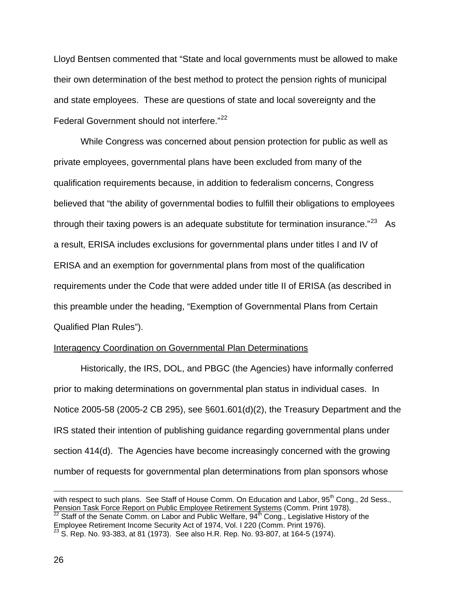Lloyd Bentsen commented that "State and local governments must be allowed to make their own determination of the best method to protect the pension rights of municipal and state employees. These are questions of state and local sovereignty and the Federal Government should not interfere."<sup>[22](#page-25-0)</sup>

While Congress was concerned about pension protection for public as well as private employees, governmental plans have been excluded from many of the qualification requirements because, in addition to federalism concerns, Congress believed that "the ability of governmental bodies to fulfill their obligations to employees through their taxing powers is an adequate substitute for termination insurance. $23$  As a result, ERISA includes exclusions for governmental plans under titles I and IV of ERISA and an exemption for governmental plans from most of the qualification requirements under the Code that were added under title II of ERISA (as described in this preamble under the heading, "Exemption of Governmental Plans from Certain Qualified Plan Rules").

### Interagency Coordination on Governmental Plan Determinations

Historically, the IRS, DOL, and PBGC (the Agencies) have informally conferred prior to making determinations on governmental plan status in individual cases. In Notice 2005-58 (2005-2 CB 295), see §601.601(d)(2), the Treasury Department and the IRS stated their intention of publishing guidance regarding governmental plans under section 414(d). The Agencies have become increasingly concerned with the growing number of requests for governmental plan determinations from plan sponsors whose

<span id="page-25-0"></span>with respect to such plans. See Staff of House Comm. On Education and Labor, 95<sup>th</sup> Cong., 2d Sess., Pension Task Force Report on Public Employee Retirement Systems (Comm. Print 1978).<br><sup>22</sup> Staff of the Senate Comm. on Labor and Public Welfare, 94<sup>th</sup> Cong., Legislative History of the Employee Retirement Income Security Act of 1974, Vol. I 220 (Comm. Print 1976). 23 S. Rep. No. 93-383, at 81 (1973). See also H.R. Rep. No. 93-807, at 164-5 (1974).

<span id="page-25-1"></span>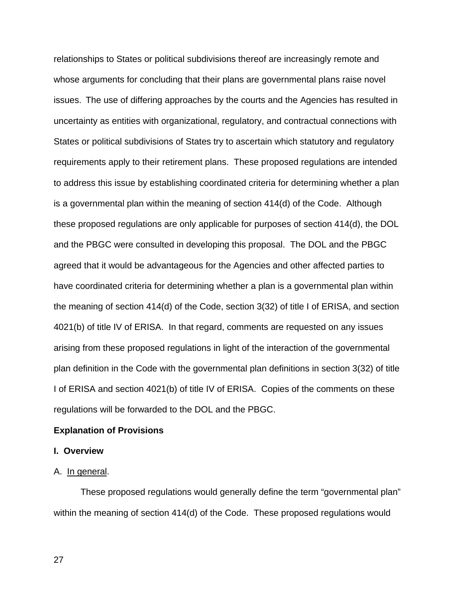relationships to States or political subdivisions thereof are increasingly remote and whose arguments for concluding that their plans are governmental plans raise novel issues. The use of differing approaches by the courts and the Agencies has resulted in uncertainty as entities with organizational, regulatory, and contractual connections with States or political subdivisions of States try to ascertain which statutory and regulatory requirements apply to their retirement plans. These proposed regulations are intended to address this issue by establishing coordinated criteria for determining whether a plan is a governmental plan within the meaning of section 414(d) of the Code. Although these proposed regulations are only applicable for purposes of section 414(d), the DOL and the PBGC were consulted in developing this proposal. The DOL and the PBGC agreed that it would be advantageous for the Agencies and other affected parties to have coordinated criteria for determining whether a plan is a governmental plan within the meaning of section 414(d) of the Code, section 3(32) of title I of ERISA, and section 4021(b) of title IV of ERISA. In that regard, comments are requested on any issues arising from these proposed regulations in light of the interaction of the governmental plan definition in the Code with the governmental plan definitions in section 3(32) of title I of ERISA and section 4021(b) of title IV of ERISA. Copies of the comments on these regulations will be forwarded to the DOL and the PBGC.

#### **Explanation of Provisions**

### **I. Overview**

#### A. In general.

These proposed regulations would generally define the term "governmental plan" within the meaning of section 414(d) of the Code. These proposed regulations would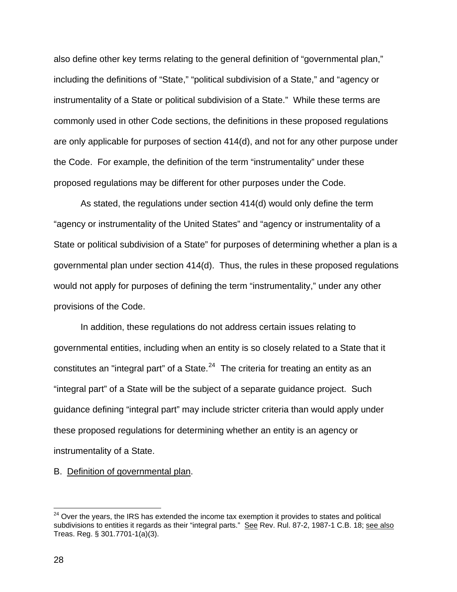also define other key terms relating to the general definition of "governmental plan," including the definitions of "State," "political subdivision of a State," and "agency or instrumentality of a State or political subdivision of a State." While these terms are commonly used in other Code sections, the definitions in these proposed regulations are only applicable for purposes of section 414(d), and not for any other purpose under the Code. For example, the definition of the term "instrumentality" under these proposed regulations may be different for other purposes under the Code.

As stated, the regulations under section 414(d) would only define the term "agency or instrumentality of the United States" and "agency or instrumentality of a State or political subdivision of a State" for purposes of determining whether a plan is a governmental plan under section 414(d). Thus, the rules in these proposed regulations would not apply for purposes of defining the term "instrumentality," under any other provisions of the Code.

In addition, these regulations do not address certain issues relating to governmental entities, including when an entity is so closely related to a State that it constitutes an "integral part" of a State. $^{24}$  $^{24}$  $^{24}$  The criteria for treating an entity as an "integral part" of a State will be the subject of a separate guidance project. Such guidance defining "integral part" may include stricter criteria than would apply under these proposed regulations for determining whether an entity is an agency or instrumentality of a State.

B. Definition of governmental plan.

<span id="page-27-0"></span> $24$  Over the years, the IRS has extended the income tax exemption it provides to states and political subdivisions to entities it regards as their "integral parts." See Rev. Rul. 87-2, 1987-1 C.B. 18; see also Treas. Reg. § 301.7701-1(a)(3).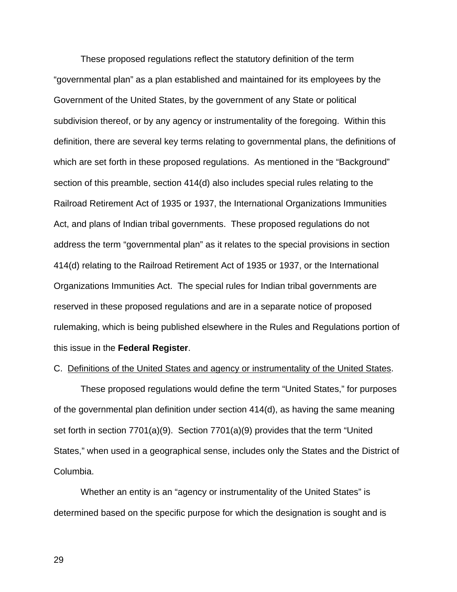These proposed regulations reflect the statutory definition of the term "governmental plan" as a plan established and maintained for its employees by the Government of the United States, by the government of any State or political subdivision thereof, or by any agency or instrumentality of the foregoing. Within this definition, there are several key terms relating to governmental plans, the definitions of which are set forth in these proposed regulations. As mentioned in the "Background" section of this preamble, section 414(d) also includes special rules relating to the Railroad Retirement Act of 1935 or 1937, the International Organizations Immunities Act, and plans of Indian tribal governments. These proposed regulations do not address the term "governmental plan" as it relates to the special provisions in section 414(d) relating to the Railroad Retirement Act of 1935 or 1937, or the International Organizations Immunities Act. The special rules for Indian tribal governments are reserved in these proposed regulations and are in a separate notice of proposed rulemaking, which is being published elsewhere in the Rules and Regulations portion of this issue in the **Federal Register**.

### C. Definitions of the United States and agency or instrumentality of the United States.

These proposed regulations would define the term "United States," for purposes of the governmental plan definition under section 414(d), as having the same meaning set forth in section 7701(a)(9). Section 7701(a)(9) provides that the term "United States," when used in a geographical sense, includes only the States and the District of Columbia.

Whether an entity is an "agency or instrumentality of the United States" is determined based on the specific purpose for which the designation is sought and is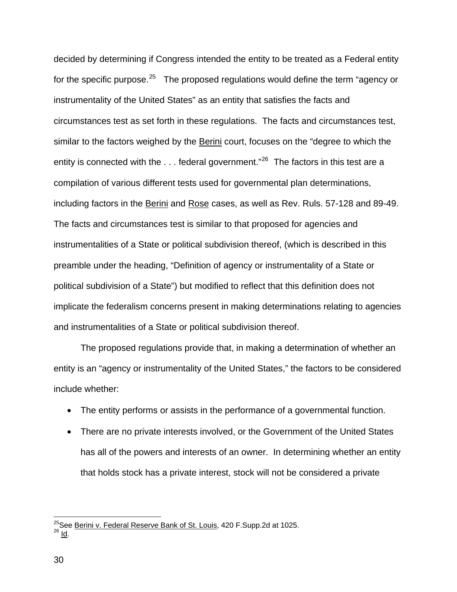decided by determining if Congress intended the entity to be treated as a Federal entity for the specific purpose.<sup>[25](#page-29-0)</sup> The proposed regulations would define the term "agency or instrumentality of the United States" as an entity that satisfies the facts and circumstances test as set forth in these regulations. The facts and circumstances test, similar to the factors weighed by the Berini court, focuses on the "degree to which the entity is connected with the  $\dots$  federal government."<sup>[26](#page-29-1)</sup> The factors in this test are a compilation of various different tests used for governmental plan determinations, including factors in the Berini and Rose cases, as well as Rev. Ruls. 57-128 and 89-49. The facts and circumstances test is similar to that proposed for agencies and instrumentalities of a State or political subdivision thereof, (which is described in this preamble under the heading, "Definition of agency or instrumentality of a State or political subdivision of a State") but modified to reflect that this definition does not implicate the federalism concerns present in making determinations relating to agencies and instrumentalities of a State or political subdivision thereof.

The proposed regulations provide that, in making a determination of whether an entity is an "agency or instrumentality of the United States," the factors to be considered include whether:

- The entity performs or assists in the performance of a governmental function.
- There are no private interests involved, or the Government of the United States has all of the powers and interests of an owner. In determining whether an entity that holds stock has a private interest, stock will not be considered a private

<span id="page-29-1"></span><span id="page-29-0"></span><sup>&</sup>lt;sup>25</sup>See <u>Berini v. Federal Reserve Bank of St. Louis</u>, 420 F.Supp.2d at 1025.<br><sup>26</sup> <u>Id</u>.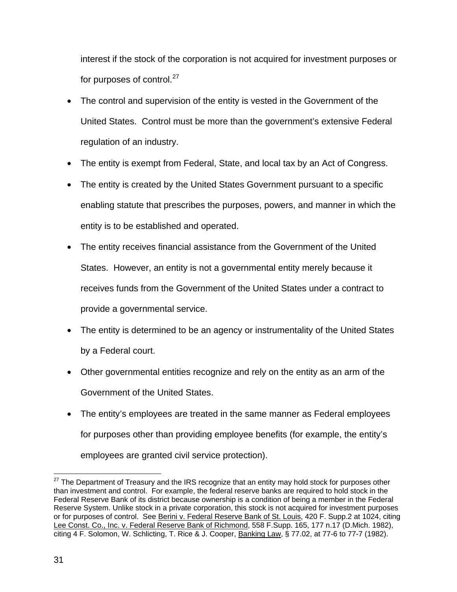interest if the stock of the corporation is not acquired for investment purposes or for purposes of control.<sup>27</sup>

- The control and supervision of the entity is vested in the Government of the United States. Control must be more than the government's extensive Federal regulation of an industry.
- The entity is exempt from Federal, State, and local tax by an Act of Congress.
- The entity is created by the United States Government pursuant to a specific enabling statute that prescribes the purposes, powers, and manner in which the entity is to be established and operated.
- The entity receives financial assistance from the Government of the United States. However, an entity is not a governmental entity merely because it receives funds from the Government of the United States under a contract to provide a governmental service.
- The entity is determined to be an agency or instrumentality of the United States by a Federal court.
- Other governmental entities recognize and rely on the entity as an arm of the Government of the United States.
- The entity's employees are treated in the same manner as Federal employees for purposes other than providing employee benefits (for example, the entity's employees are granted civil service protection).

 $\overline{a}$  $27$  The Department of Treasury and the IRS recognize that an entity may hold stock for purposes other than investment and control. For example, the federal reserve banks are required to hold stock in the Federal Reserve Bank of its district because ownership is a condition of being a member in the Federal Reserve System. Unlike stock in a private corporation, this stock is not acquired for investment purposes or for purposes of control. See Berini v. Federal Reserve Bank of St. Louis, 420 F. Supp.2 at 1024, citing Lee Const. Co., Inc. v. Federal Reserve Bank of Richmond, 558 F.Supp. 165, 177 n.17 (D.Mich. 1982), citing 4 F. Solomon, W. Schlicting, T. Rice & J. Cooper, Banking Law, § 77.02, at 77-6 to 77-7 (1982).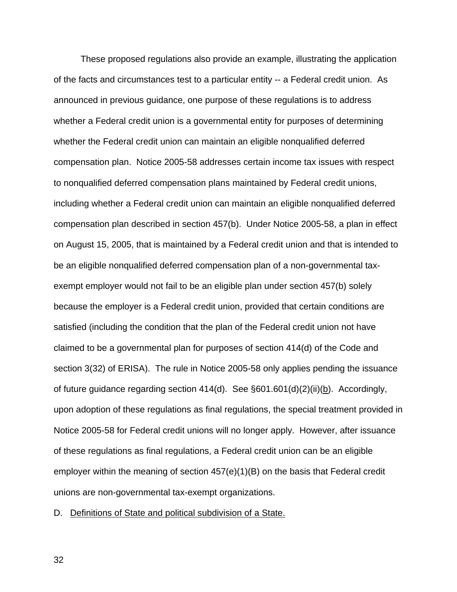These proposed regulations also provide an example, illustrating the application of the facts and circumstances test to a particular entity -- a Federal credit union. As announced in previous guidance, one purpose of these regulations is to address whether a Federal credit union is a governmental entity for purposes of determining whether the Federal credit union can maintain an eligible nonqualified deferred compensation plan. Notice 2005-58 addresses certain income tax issues with respect to nonqualified deferred compensation plans maintained by Federal credit unions, including whether a Federal credit union can maintain an eligible nonqualified deferred compensation plan described in section 457(b). Under Notice 2005-58, a plan in effect on August 15, 2005, that is maintained by a Federal credit union and that is intended to be an eligible nonqualified deferred compensation plan of a non-governmental taxexempt employer would not fail to be an eligible plan under section 457(b) solely because the employer is a Federal credit union, provided that certain conditions are satisfied (including the condition that the plan of the Federal credit union not have claimed to be a governmental plan for purposes of section 414(d) of the Code and section 3(32) of ERISA). The rule in Notice 2005-58 only applies pending the issuance of future guidance regarding section 414(d). See  $\S601.601(d)(2)(ii)(b)$ . Accordingly, upon adoption of these regulations as final regulations, the special treatment provided in Notice 2005-58 for Federal credit unions will no longer apply. However, after issuance of these regulations as final regulations, a Federal credit union can be an eligible employer within the meaning of section 457(e)(1)(B) on the basis that Federal credit unions are non-governmental tax-exempt organizations.

D. Definitions of State and political subdivision of a State.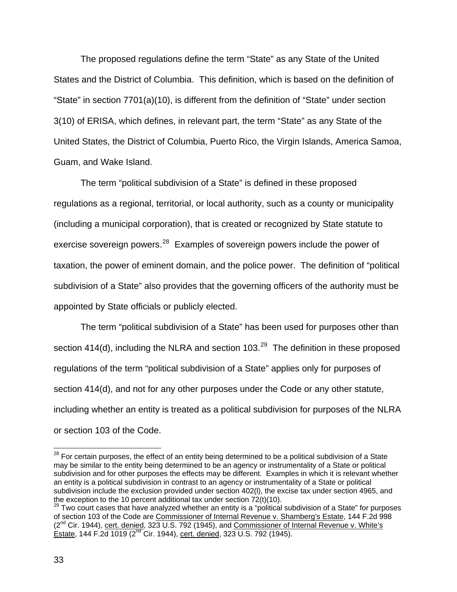The proposed regulations define the term "State" as any State of the United States and the District of Columbia. This definition, which is based on the definition of "State" in section 7701(a)(10), is different from the definition of "State" under section 3(10) of ERISA, which defines, in relevant part, the term "State" as any State of the United States, the District of Columbia, Puerto Rico, the Virgin Islands, America Samoa, Guam, and Wake Island.

The term "political subdivision of a State" is defined in these proposed regulations as a regional, territorial, or local authority, such as a county or municipality (including a municipal corporation), that is created or recognized by State statute to exercise sovereign powers.<sup>[28](#page-32-0)</sup> Examples of sovereign powers include the power of taxation, the power of eminent domain, and the police power. The definition of "political subdivision of a State" also provides that the governing officers of the authority must be appointed by State officials or publicly elected.

The term "political subdivision of a State" has been used for purposes other than section 414(d), including the NLRA and section  $103.<sup>29</sup>$  $103.<sup>29</sup>$  $103.<sup>29</sup>$  The definition in these proposed regulations of the term "political subdivision of a State" applies only for purposes of section 414(d), and not for any other purposes under the Code or any other statute, including whether an entity is treated as a political subdivision for purposes of the NLRA or section 103 of the Code.

<span id="page-32-0"></span><sup>&</sup>lt;sup>28</sup> For certain purposes, the effect of an entity being determined to be a political subdivision of a State may be similar to the entity being determined to be an agency or instrumentality of a State or political subdivision and for other purposes the effects may be different. Examples in which it is relevant whether an entity is a political subdivision in contrast to an agency or instrumentality of a State or political subdivision include the exclusion provided under section 402(l), the excise tax under section 4965, and the exception to the 10 percent additional tax under section  $72(t)(10)$ .<br><sup>29</sup> Two court cases that have analyzed whether an entity is a "political subdivision of a State" for purposes

<span id="page-32-1"></span>of section 103 of the Code are Commissioner of Internal Revenue v. Shamberg's Estate, 144 F.2d 998 (2<sup>nd</sup> Cir. 1944), cert. denied, 323 U.S. 792 (1945), and Commissioner of Internal Revenue v. White's Estate, 144 F.2d 1019 (2<sup>nd</sup> Cir. 1944), cert. denied, 323 U.S. 792 (1945).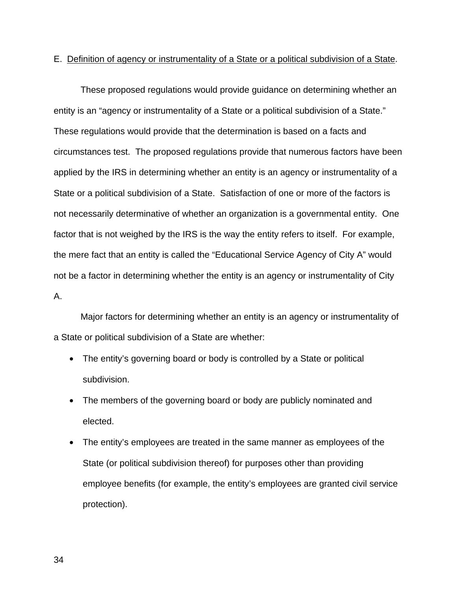### E. Definition of agency or instrumentality of a State or a political subdivision of a State.

 These proposed regulations would provide guidance on determining whether an entity is an "agency or instrumentality of a State or a political subdivision of a State." These regulations would provide that the determination is based on a facts and circumstances test. The proposed regulations provide that numerous factors have been applied by the IRS in determining whether an entity is an agency or instrumentality of a State or a political subdivision of a State. Satisfaction of one or more of the factors is not necessarily determinative of whether an organization is a governmental entity. One factor that is not weighed by the IRS is the way the entity refers to itself. For example, the mere fact that an entity is called the "Educational Service Agency of City A" would not be a factor in determining whether the entity is an agency or instrumentality of City A.

Major factors for determining whether an entity is an agency or instrumentality of a State or political subdivision of a State are whether:

- The entity's governing board or body is controlled by a State or political subdivision.
- The members of the governing board or body are publicly nominated and elected.
- The entity's employees are treated in the same manner as employees of the State (or political subdivision thereof) for purposes other than providing employee benefits (for example, the entity's employees are granted civil service protection).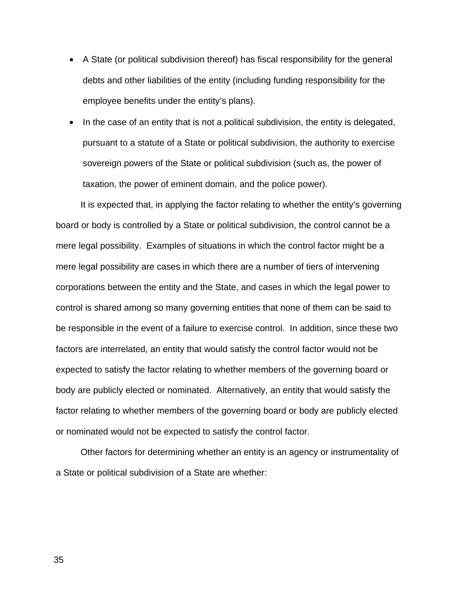- A State (or political subdivision thereof) has fiscal responsibility for the general debts and other liabilities of the entity (including funding responsibility for the employee benefits under the entity's plans).
- In the case of an entity that is not a political subdivision, the entity is delegated, pursuant to a statute of a State or political subdivision, the authority to exercise sovereign powers of the State or political subdivision (such as, the power of taxation, the power of eminent domain, and the police power).

 It is expected that, in applying the factor relating to whether the entity's governing board or body is controlled by a State or political subdivision, the control cannot be a mere legal possibility. Examples of situations in which the control factor might be a mere legal possibility are cases in which there are a number of tiers of intervening corporations between the entity and the State, and cases in which the legal power to control is shared among so many governing entities that none of them can be said to be responsible in the event of a failure to exercise control. In addition, since these two factors are interrelated, an entity that would satisfy the control factor would not be expected to satisfy the factor relating to whether members of the governing board or body are publicly elected or nominated. Alternatively, an entity that would satisfy the factor relating to whether members of the governing board or body are publicly elected or nominated would not be expected to satisfy the control factor.

 Other factors for determining whether an entity is an agency or instrumentality of a State or political subdivision of a State are whether: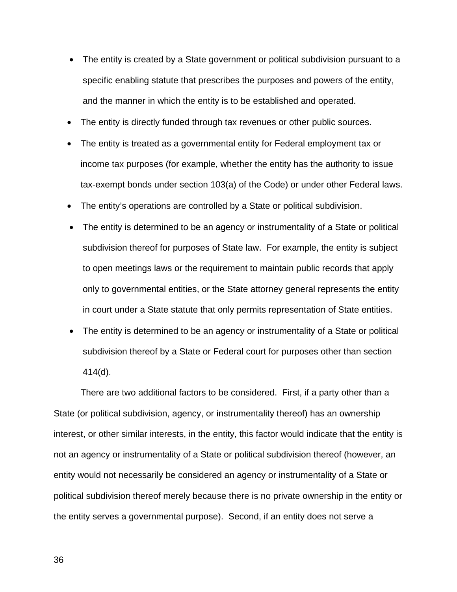- The entity is created by a State government or political subdivision pursuant to a specific enabling statute that prescribes the purposes and powers of the entity, and the manner in which the entity is to be established and operated.
- The entity is directly funded through tax revenues or other public sources.
- The entity is treated as a governmental entity for Federal employment tax or income tax purposes (for example, whether the entity has the authority to issue tax-exempt bonds under section 103(a) of the Code) or under other Federal laws.
- The entity's operations are controlled by a State or political subdivision.
- The entity is determined to be an agency or instrumentality of a State or political subdivision thereof for purposes of State law. For example, the entity is subject to open meetings laws or the requirement to maintain public records that apply only to governmental entities, or the State attorney general represents the entity in court under a State statute that only permits representation of State entities.
- The entity is determined to be an agency or instrumentality of a State or political subdivision thereof by a State or Federal court for purposes other than section 414(d).

There are two additional factors to be considered. First, if a party other than a State (or political subdivision, agency, or instrumentality thereof) has an ownership interest, or other similar interests, in the entity, this factor would indicate that the entity is not an agency or instrumentality of a State or political subdivision thereof (however, an entity would not necessarily be considered an agency or instrumentality of a State or political subdivision thereof merely because there is no private ownership in the entity or the entity serves a governmental purpose). Second, if an entity does not serve a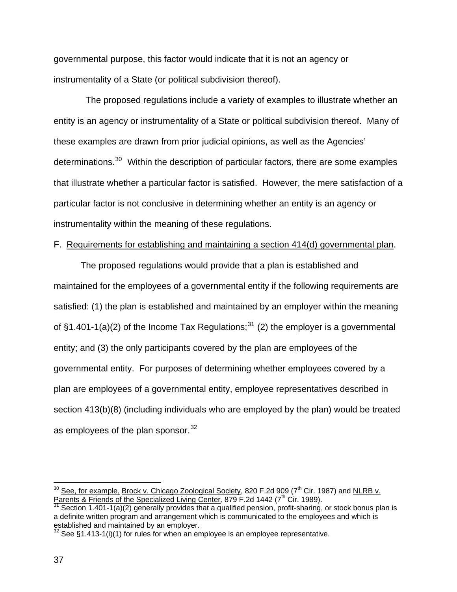governmental purpose, this factor would indicate that it is not an agency or instrumentality of a State (or political subdivision thereof).

 The proposed regulations include a variety of examples to illustrate whether an entity is an agency or instrumentality of a State or political subdivision thereof. Many of these examples are drawn from prior judicial opinions, as well as the Agencies' determinations.<sup>[30](#page-36-0)</sup> Within the description of particular factors, there are some examples that illustrate whether a particular factor is satisfied. However, the mere satisfaction of a particular factor is not conclusive in determining whether an entity is an agency or instrumentality within the meaning of these regulations.

#### F. Requirements for establishing and maintaining a section 414(d) governmental plan.

The proposed regulations would provide that a plan is established and maintained for the employees of a governmental entity if the following requirements are satisfied: (1) the plan is established and maintained by an employer within the meaning of  $\S1.401-1(a)(2)$  of the Income Tax Regulations;<sup>[31](#page-36-1)</sup> (2) the employer is a governmental entity; and (3) the only participants covered by the plan are employees of the governmental entity. For purposes of determining whether employees covered by a plan are employees of a governmental entity, employee representatives described in section 413(b)(8) (including individuals who are employed by the plan) would be treated as employees of the plan sponsor.<sup>[32](#page-36-2)</sup>

<span id="page-36-0"></span> $^{30}$  See, for example, Brock v. Chicago Zoological Society, 820 F.2d 909 (7<sup>th</sup> Cir. 1987) and <u>NLRB v.</u> Parents & Friends of the Specialized Living Center, 879 F.2d 1442 (7<sup>th</sup> Cir. 1989).<br><sup>31</sup> Section 1.401-1(a)(2) generally provides that a qualified pension, profit-sharing, or stock bonus plan is

<span id="page-36-1"></span>a definite written program and arrangement which is communicated to the employees and which is established and maintained by an employer.

<span id="page-36-2"></span>See  $\S$ 1.413-1(i)(1) for rules for when an employee is an employee representative.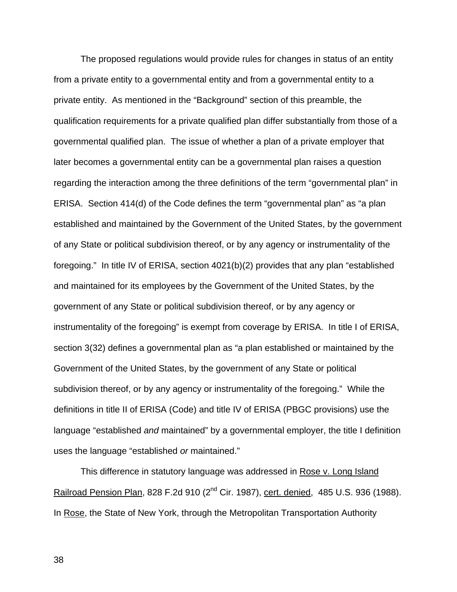The proposed regulations would provide rules for changes in status of an entity from a private entity to a governmental entity and from a governmental entity to a private entity. As mentioned in the "Background" section of this preamble, the qualification requirements for a private qualified plan differ substantially from those of a governmental qualified plan. The issue of whether a plan of a private employer that later becomes a governmental entity can be a governmental plan raises a question regarding the interaction among the three definitions of the term "governmental plan" in ERISA. Section 414(d) of the Code defines the term "governmental plan" as "a plan established and maintained by the Government of the United States, by the government of any State or political subdivision thereof, or by any agency or instrumentality of the foregoing." In title IV of ERISA, section 4021(b)(2) provides that any plan "established and maintained for its employees by the Government of the United States, by the government of any State or political subdivision thereof, or by any agency or instrumentality of the foregoing" is exempt from coverage by ERISA. In title I of ERISA, section 3(32) defines a governmental plan as "a plan established or maintained by the Government of the United States, by the government of any State or political subdivision thereof, or by any agency or instrumentality of the foregoing." While the definitions in title II of ERISA (Code) and title IV of ERISA (PBGC provisions) use the language "established *and* maintained" by a governmental employer, the title I definition uses the language "established *or* maintained."

This difference in statutory language was addressed in Rose v. Long Island Railroad Pension Plan, 828 F.2d 910 (2<sup>nd</sup> Cir. 1987), cert. denied, 485 U.S. 936 (1988). In Rose, the State of New York, through the Metropolitan Transportation Authority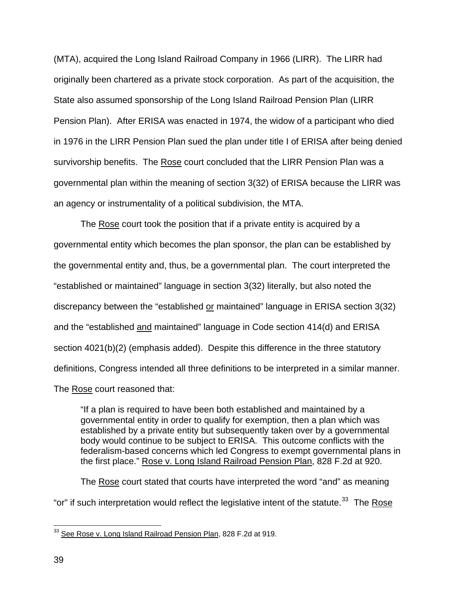(MTA), acquired the Long Island Railroad Company in 1966 (LIRR). The LIRR had originally been chartered as a private stock corporation. As part of the acquisition, the State also assumed sponsorship of the Long Island Railroad Pension Plan (LIRR Pension Plan). After ERISA was enacted in 1974, the widow of a participant who died in 1976 in the LIRR Pension Plan sued the plan under title I of ERISA after being denied survivorship benefits. The Rose court concluded that the LIRR Pension Plan was a governmental plan within the meaning of section 3(32) of ERISA because the LIRR was an agency or instrumentality of a political subdivision, the MTA.

The Rose court took the position that if a private entity is acquired by a governmental entity which becomes the plan sponsor, the plan can be established by the governmental entity and, thus, be a governmental plan. The court interpreted the "established or maintained" language in section 3(32) literally, but also noted the discrepancy between the "established or maintained" language in ERISA section 3(32) and the "established and maintained" language in Code section 414(d) and ERISA section 4021(b)(2) (emphasis added). Despite this difference in the three statutory definitions, Congress intended all three definitions to be interpreted in a similar manner. The Rose court reasoned that:

"If a plan is required to have been both established and maintained by a governmental entity in order to qualify for exemption, then a plan which was established by a private entity but subsequently taken over by a governmental body would continue to be subject to ERISA. This outcome conflicts with the federalism-based concerns which led Congress to exempt governmental plans in the first place." Rose v. Long Island Railroad Pension Plan, 828 F.2d at 920.

The Rose court stated that courts have interpreted the word "and" as meaning "or" if such interpretation would reflect the legislative intent of the statute. $33$  The Rose

<span id="page-38-0"></span><sup>&</sup>lt;sup>33</sup> See Rose v. Long Island Railroad Pension Plan, 828 F.2d at 919.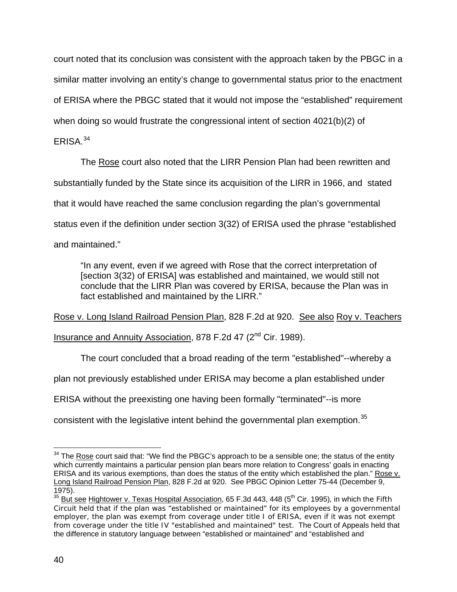court noted that its conclusion was consistent with the approach taken by the PBGC in a similar matter involving an entity's change to governmental status prior to the enactment of ERISA where the PBGC stated that it would not impose the "established" requirement when doing so would frustrate the congressional intent of section 4021(b)(2) of

# ERISA.[34](#page-39-0)

The Rose court also noted that the LIRR Pension Plan had been rewritten and substantially funded by the State since its acquisition of the LIRR in 1966, and stated that it would have reached the same conclusion regarding the plan's governmental status even if the definition under section 3(32) of ERISA used the phrase "established and maintained."

"In any event, even if we agreed with Rose that the correct interpretation of [section 3(32) of ERISA] was established and maintained, we would still not conclude that the LIRR Plan was covered by ERISA, because the Plan was in fact established and maintained by the LIRR."

Rose v. Long Island Railroad Pension Plan, 828 F.2d at 920. See also Roy v. Teachers Insurance and Annuity Association, 878 F.2d 47 (2<sup>nd</sup> Cir. 1989).

The court concluded that a broad reading of the term "established"--whereby a

plan not previously established under ERISA may become a plan established under

ERISA without the preexisting one having been formally "terminated"--is more

consistent with the legislative intent behind the governmental plan exemption.<sup>[35](#page-39-1)</sup>

<span id="page-39-0"></span><sup>&</sup>lt;u>.</u>  $34$  The Rose court said that: "We find the PBGC's approach to be a sensible one; the status of the entity which currently maintains a particular pension plan bears more relation to Congress' goals in enacting ERISA and its various exemptions, than does the status of the entity which established the plan." Rose v. Long Island Railroad Pension Plan, 828 F.2d at 920. See PBGC Opinion Letter 75-44 (December 9, 1975).

<span id="page-39-1"></span><sup>&</sup>lt;sup>35</sup> But see Hightower v. Texas Hospital Association, 65 F.3d 443, 448 (5<sup>th</sup> Cir. 1995), in which the Fifth Circuit held that if the plan was "established or maintained" for its employees by a governmental employer, the plan was exempt from coverage under title I of ERISA, even if it was not exempt from coverage under the title IV "established and maintained" test. The Court of Appeals held that the difference in statutory language between "established or maintained" and "established and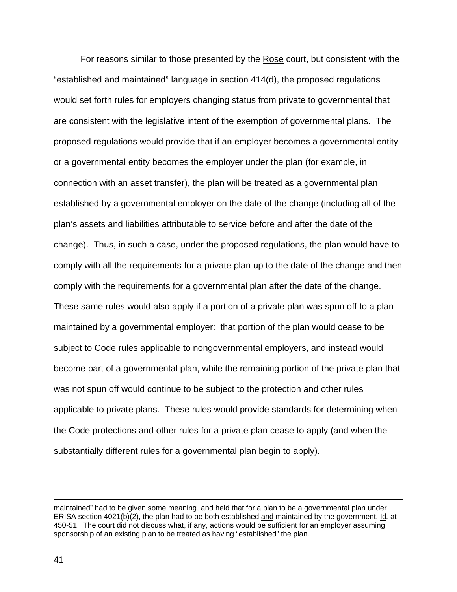For reasons similar to those presented by the Rose court, but consistent with the "established and maintained" language in section 414(d), the proposed regulations would set forth rules for employers changing status from private to governmental that are consistent with the legislative intent of the exemption of governmental plans. The proposed regulations would provide that if an employer becomes a governmental entity or a governmental entity becomes the employer under the plan (for example, in connection with an asset transfer), the plan will be treated as a governmental plan established by a governmental employer on the date of the change (including all of the plan's assets and liabilities attributable to service before and after the date of the change). Thus, in such a case, under the proposed regulations, the plan would have to comply with all the requirements for a private plan up to the date of the change and then comply with the requirements for a governmental plan after the date of the change. These same rules would also apply if a portion of a private plan was spun off to a plan maintained by a governmental employer: that portion of the plan would cease to be subject to Code rules applicable to nongovernmental employers, and instead would become part of a governmental plan, while the remaining portion of the private plan that was not spun off would continue to be subject to the protection and other rules applicable to private plans. These rules would provide standards for determining when the Code protections and other rules for a private plan cease to apply (and when the substantially different rules for a governmental plan begin to apply).

maintained" had to be given some meaning, and held that for a plan to be a governmental plan under ERISA section 4021(b)(2), the plan had to be both established and maintained by the government. Id*.* at 450-51. The court did not discuss what, if any, actions would be sufficient for an employer assuming sponsorship of an existing plan to be treated as having "established" the plan.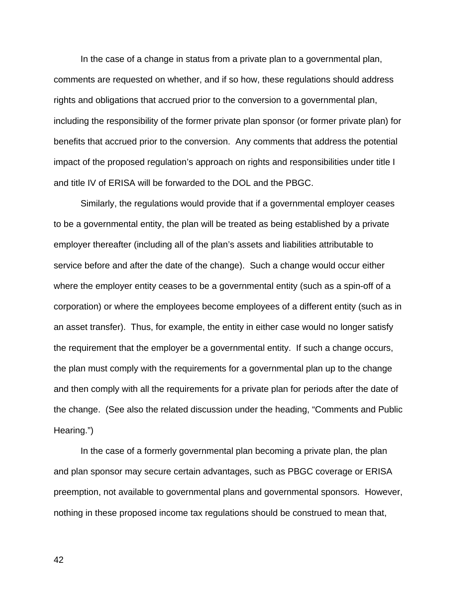In the case of a change in status from a private plan to a governmental plan, comments are requested on whether, and if so how, these regulations should address rights and obligations that accrued prior to the conversion to a governmental plan, including the responsibility of the former private plan sponsor (or former private plan) for benefits that accrued prior to the conversion. Any comments that address the potential impact of the proposed regulation's approach on rights and responsibilities under title I and title IV of ERISA will be forwarded to the DOL and the PBGC.

Similarly, the regulations would provide that if a governmental employer ceases to be a governmental entity, the plan will be treated as being established by a private employer thereafter (including all of the plan's assets and liabilities attributable to service before and after the date of the change).Such a change would occur either where the employer entity ceases to be a governmental entity (such as a spin-off of a corporation) or where the employees become employees of a different entity (such as in an asset transfer). Thus, for example, the entity in either case would no longer satisfy the requirement that the employer be a governmental entity. If such a change occurs, the plan must comply with the requirements for a governmental plan up to the change and then comply with all the requirements for a private plan for periods after the date of the change. (See also the related discussion under the heading, "Comments and Public Hearing.")

In the case of a formerly governmental plan becoming a private plan, the plan and plan sponsor may secure certain advantages, such as PBGC coverage or ERISA preemption, not available to governmental plans and governmental sponsors. However, nothing in these proposed income tax regulations should be construed to mean that,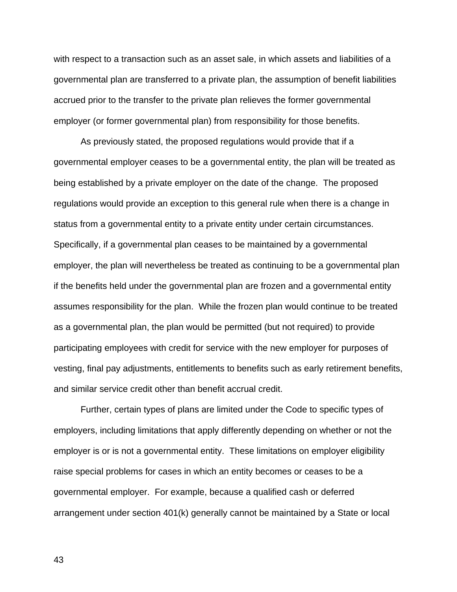with respect to a transaction such as an asset sale, in which assets and liabilities of a governmental plan are transferred to a private plan, the assumption of benefit liabilities accrued prior to the transfer to the private plan relieves the former governmental employer (or former governmental plan) from responsibility for those benefits.

As previously stated, the proposed regulations would provide that if a governmental employer ceases to be a governmental entity, the plan will be treated as being established by a private employer on the date of the change.The proposed regulations would provide an exception to this general rule when there is a change in status from a governmental entity to a private entity under certain circumstances. Specifically, if a governmental plan ceases to be maintained by a governmental employer, the plan will nevertheless be treated as continuing to be a governmental plan if the benefits held under the governmental plan are frozen and a governmental entity assumes responsibility for the plan. While the frozen plan would continue to be treated as a governmental plan, the plan would be permitted (but not required) to provide participating employees with credit for service with the new employer for purposes of vesting, final pay adjustments, entitlements to benefits such as early retirement benefits, and similar service credit other than benefit accrual credit.

Further, certain types of plans are limited under the Code to specific types of employers, including limitations that apply differently depending on whether or not the employer is or is not a governmental entity. These limitations on employer eligibility raise special problems for cases in which an entity becomes or ceases to be a governmental employer. For example, because a qualified cash or deferred arrangement under section 401(k) generally cannot be maintained by a State or local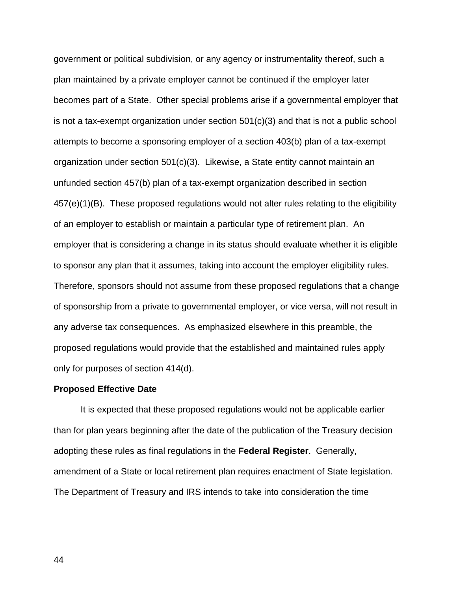government or political subdivision, or any agency or instrumentality thereof, such a plan maintained by a private employer cannot be continued if the employer later becomes part of a State. Other special problems arise if a governmental employer that is not a tax-exempt organization under section  $501(c)(3)$  and that is not a public school attempts to become a sponsoring employer of a section 403(b) plan of a tax-exempt organization under section 501(c)(3). Likewise, a State entity cannot maintain an unfunded section 457(b) plan of a tax-exempt organization described in section 457(e)(1)(B). These proposed regulations would not alter rules relating to the eligibility of an employer to establish or maintain a particular type of retirement plan. An employer that is considering a change in its status should evaluate whether it is eligible to sponsor any plan that it assumes, taking into account the employer eligibility rules. Therefore, sponsors should not assume from these proposed regulations that a change of sponsorship from a private to governmental employer, or vice versa, will not result in any adverse tax consequences. As emphasized elsewhere in this preamble, the proposed regulations would provide that the established and maintained rules apply only for purposes of section 414(d).

#### **Proposed Effective Date**

 It is expected that these proposed regulations would not be applicable earlier than for plan years beginning after the date of the publication of the Treasury decision adopting these rules as final regulations in the **Federal Register**. Generally, amendment of a State or local retirement plan requires enactment of State legislation. The Department of Treasury and IRS intends to take into consideration the time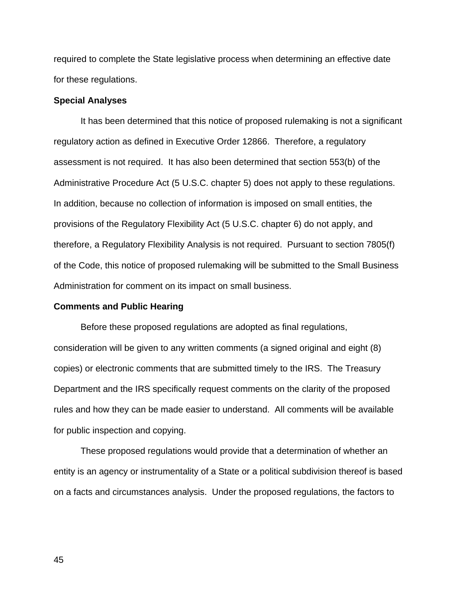required to complete the State legislative process when determining an effective date for these regulations.

#### **Special Analyses**

 It has been determined that this notice of proposed rulemaking is not a significant regulatory action as defined in Executive Order 12866. Therefore, a regulatory assessment is not required. It has also been determined that section 553(b) of the Administrative Procedure Act (5 U.S.C. chapter 5) does not apply to these regulations. In addition, because no collection of information is imposed on small entities, the provisions of the Regulatory Flexibility Act (5 U.S.C. chapter 6) do not apply, and therefore, a Regulatory Flexibility Analysis is not required. Pursuant to section 7805(f) of the Code, this notice of proposed rulemaking will be submitted to the Small Business Administration for comment on its impact on small business.

#### **Comments and Public Hearing**

 Before these proposed regulations are adopted as final regulations, consideration will be given to any written comments (a signed original and eight (8) copies) or electronic comments that are submitted timely to the IRS. The Treasury Department and the IRS specifically request comments on the clarity of the proposed rules and how they can be made easier to understand. All comments will be available for public inspection and copying.

These proposed regulations would provide that a determination of whether an entity is an agency or instrumentality of a State or a political subdivision thereof is based on a facts and circumstances analysis. Under the proposed regulations, the factors to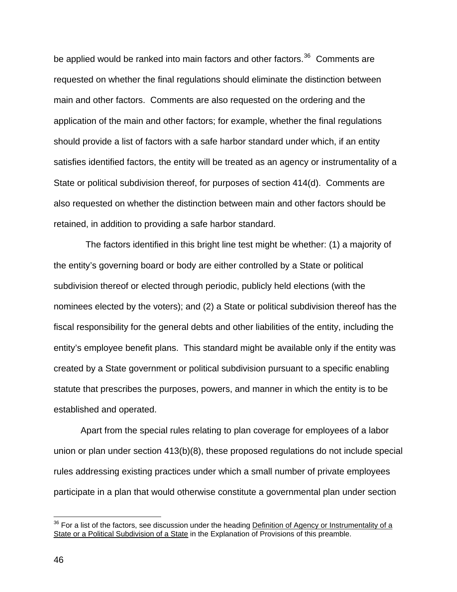be applied would be ranked into main factors and other factors.<sup>[36](#page-45-0)</sup> Comments are requested on whether the final regulations should eliminate the distinction between main and other factors. Comments are also requested on the ordering and the application of the main and other factors; for example, whether the final regulations should provide a list of factors with a safe harbor standard under which, if an entity satisfies identified factors, the entity will be treated as an agency or instrumentality of a State or political subdivision thereof, for purposes of section 414(d). Comments are also requested on whether the distinction between main and other factors should be retained, in addition to providing a safe harbor standard.

 The factors identified in this bright line test might be whether: (1) a majority of the entity's governing board or body are either controlled by a State or political subdivision thereof or elected through periodic, publicly held elections (with the nominees elected by the voters); and (2) a State or political subdivision thereof has the fiscal responsibility for the general debts and other liabilities of the entity, including the entity's employee benefit plans. This standard might be available only if the entity was created by a State government or political subdivision pursuant to a specific enabling statute that prescribes the purposes, powers, and manner in which the entity is to be established and operated.

 Apart from the special rules relating to plan coverage for employees of a labor union or plan under section 413(b)(8), these proposed regulations do not include special rules addressing existing practices under which a small number of private employees participate in a plan that would otherwise constitute a governmental plan under section

<span id="page-45-0"></span> $36$  For a list of the factors, see discussion under the heading Definition of Agency or Instrumentality of a State or a Political Subdivision of a State in the Explanation of Provisions of this preamble.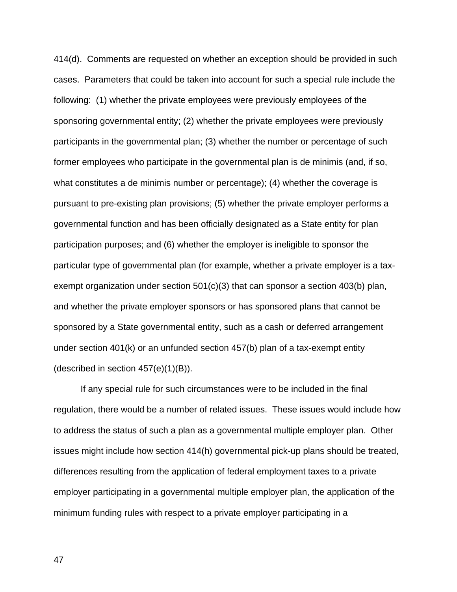414(d). Comments are requested on whether an exception should be provided in such cases. Parameters that could be taken into account for such a special rule include the following: (1) whether the private employees were previously employees of the sponsoring governmental entity; (2) whether the private employees were previously participants in the governmental plan; (3) whether the number or percentage of such former employees who participate in the governmental plan is de minimis (and, if so, what constitutes a de minimis number or percentage); (4) whether the coverage is pursuant to pre-existing plan provisions; (5) whether the private employer performs a governmental function and has been officially designated as a State entity for plan participation purposes; and (6) whether the employer is ineligible to sponsor the particular type of governmental plan (for example, whether a private employer is a taxexempt organization under section  $501(c)(3)$  that can sponsor a section  $403(b)$  plan, and whether the private employer sponsors or has sponsored plans that cannot be sponsored by a State governmental entity, such as a cash or deferred arrangement under section 401(k) or an unfunded section 457(b) plan of a tax-exempt entity (described in section  $457(e)(1)(B)$ ).

 If any special rule for such circumstances were to be included in the final regulation, there would be a number of related issues. These issues would include how to address the status of such a plan as a governmental multiple employer plan. Other issues might include how section 414(h) governmental pick-up plans should be treated, differences resulting from the application of federal employment taxes to a private employer participating in a governmental multiple employer plan, the application of the minimum funding rules with respect to a private employer participating in a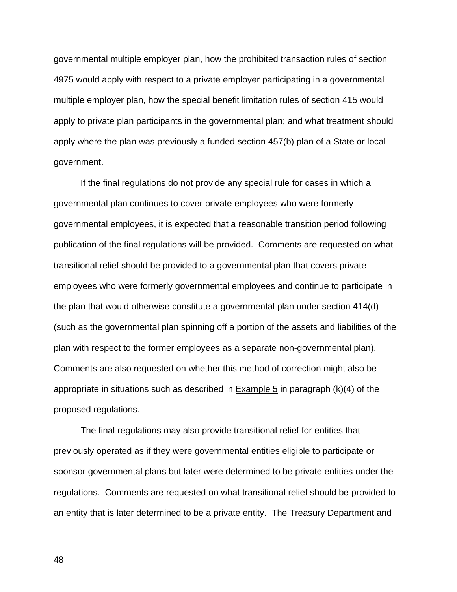governmental multiple employer plan, how the prohibited transaction rules of section 4975 would apply with respect to a private employer participating in a governmental multiple employer plan, how the special benefit limitation rules of section 415 would apply to private plan participants in the governmental plan; and what treatment should apply where the plan was previously a funded section 457(b) plan of a State or local government.

 If the final regulations do not provide any special rule for cases in which a governmental plan continues to cover private employees who were formerly governmental employees, it is expected that a reasonable transition period following publication of the final regulations will be provided. Comments are requested on what transitional relief should be provided to a governmental plan that covers private employees who were formerly governmental employees and continue to participate in the plan that would otherwise constitute a governmental plan under section 414(d) (such as the governmental plan spinning off a portion of the assets and liabilities of the plan with respect to the former employees as a separate non-governmental plan). Comments are also requested on whether this method of correction might also be appropriate in situations such as described in  $Example 5$  in paragraph (k)(4) of the proposed regulations.

 The final regulations may also provide transitional relief for entities that previously operated as if they were governmental entities eligible to participate or sponsor governmental plans but later were determined to be private entities under the regulations. Comments are requested on what transitional relief should be provided to an entity that is later determined to be a private entity. The Treasury Department and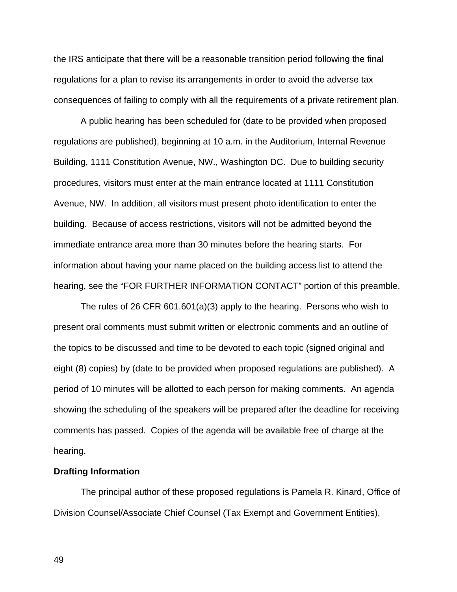the IRS anticipate that there will be a reasonable transition period following the final regulations for a plan to revise its arrangements in order to avoid the adverse tax consequences of failing to comply with all the requirements of a private retirement plan.

 A public hearing has been scheduled for (date to be provided when proposed regulations are published), beginning at 10 a.m. in the Auditorium, Internal Revenue Building, 1111 Constitution Avenue, NW., Washington DC. Due to building security procedures, visitors must enter at the main entrance located at 1111 Constitution Avenue, NW. In addition, all visitors must present photo identification to enter the building. Because of access restrictions, visitors will not be admitted beyond the immediate entrance area more than 30 minutes before the hearing starts. For information about having your name placed on the building access list to attend the hearing, see the "FOR FURTHER INFORMATION CONTACT" portion of this preamble.

 The rules of 26 CFR 601.601(a)(3) apply to the hearing. Persons who wish to present oral comments must submit written or electronic comments and an outline of the topics to be discussed and time to be devoted to each topic (signed original and eight (8) copies) by (date to be provided when proposed regulations are published). A period of 10 minutes will be allotted to each person for making comments. An agenda showing the scheduling of the speakers will be prepared after the deadline for receiving comments has passed. Copies of the agenda will be available free of charge at the hearing.

#### **Drafting Information**

 The principal author of these proposed regulations is Pamela R. Kinard, Office of Division Counsel/Associate Chief Counsel (Tax Exempt and Government Entities),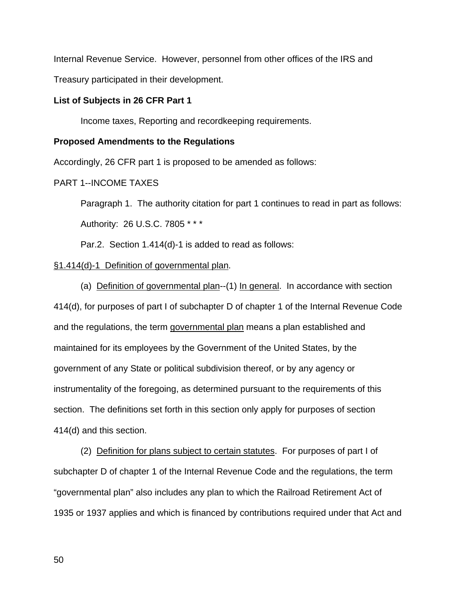Internal Revenue Service. However, personnel from other offices of the IRS and

Treasury participated in their development.

### **List of Subjects in 26 CFR Part 1**

Income taxes, Reporting and recordkeeping requirements.

#### **Proposed Amendments to the Regulations**

Accordingly, 26 CFR part 1 is proposed to be amended as follows:

### PART 1--INCOME TAXES

Paragraph 1. The authority citation for part 1 continues to read in part as follows:

Authority: 26 U.S.C. 7805 \* \* \*

Par.2. Section 1.414(d)-1 is added to read as follows:

### §1.414(d)-1 Definition of governmental plan.

(a) Definition of governmental plan--(1) In general. In accordance with section 414(d), for purposes of part I of subchapter D of chapter 1 of the Internal Revenue Code and the regulations, the term governmental plan means a plan established and maintained for its employees by the Government of the United States, by the government of any State or political subdivision thereof, or by any agency or instrumentality of the foregoing, as determined pursuant to the requirements of this section. The definitions set forth in this section only apply for purposes of section 414(d) and this section.

(2) Definition for plans subject to certain statutes. For purposes of part I of subchapter D of chapter 1 of the Internal Revenue Code and the regulations, the term "governmental plan" also includes any plan to which the Railroad Retirement Act of 1935 or 1937 applies and which is financed by contributions required under that Act and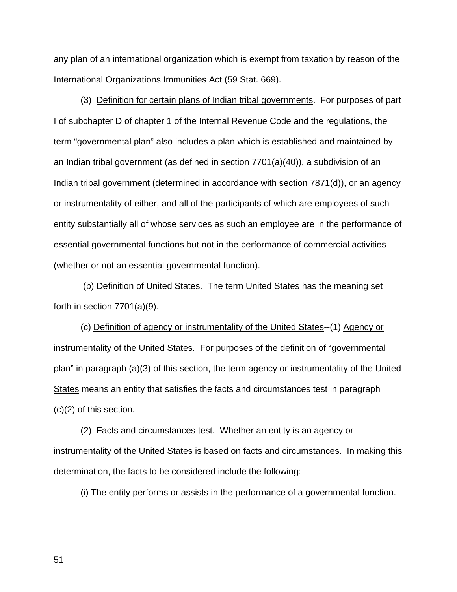any plan of an international organization which is exempt from taxation by reason of the International Organizations Immunities Act (59 Stat. 669).

(3) Definition for certain plans of Indian tribal governments. For purposes of part I of subchapter D of chapter 1 of the Internal Revenue Code and the regulations, the term "governmental plan" also includes a plan which is established and maintained by an Indian tribal government (as defined in section 7701(a)(40)), a subdivision of an Indian tribal government (determined in accordance with section 7871(d)), or an agency or instrumentality of either, and all of the participants of which are employees of such entity substantially all of whose services as such an employee are in the performance of essential governmental functions but not in the performance of commercial activities (whether or not an essential governmental function).

 (b) Definition of United States. The term United States has the meaning set forth in section 7701(a)(9).

(c) Definition of agency or instrumentality of the United States--(1) Agency or instrumentality of the United States. For purposes of the definition of "governmental plan" in paragraph (a)(3) of this section, the term agency or instrumentality of the United States means an entity that satisfies the facts and circumstances test in paragraph (c)(2) of this section.

(2) Facts and circumstances test. Whether an entity is an agency or instrumentality of the United States is based on facts and circumstances. In making this determination, the facts to be considered include the following:

(i) The entity performs or assists in the performance of a governmental function.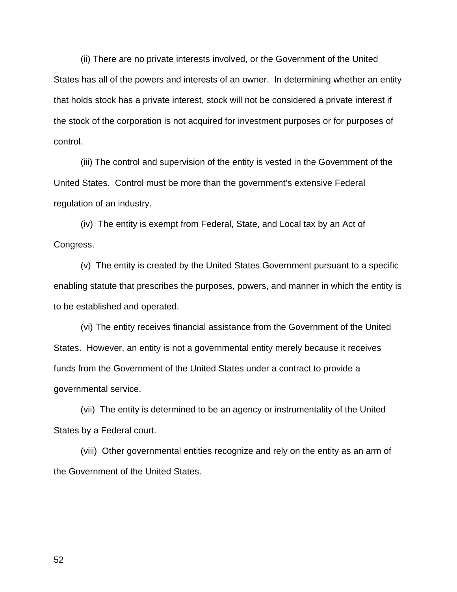(ii) There are no private interests involved, or the Government of the United States has all of the powers and interests of an owner. In determining whether an entity that holds stock has a private interest, stock will not be considered a private interest if the stock of the corporation is not acquired for investment purposes or for purposes of control.

(iii) The control and supervision of the entity is vested in the Government of the United States. Control must be more than the government's extensive Federal regulation of an industry.

(iv) The entity is exempt from Federal, State, and Local tax by an Act of Congress.

(v) The entity is created by the United States Government pursuant to a specific enabling statute that prescribes the purposes, powers, and manner in which the entity is to be established and operated.

(vi) The entity receives financial assistance from the Government of the United States. However, an entity is not a governmental entity merely because it receives funds from the Government of the United States under a contract to provide a governmental service.

(vii) The entity is determined to be an agency or instrumentality of the United States by a Federal court.

(viii) Other governmental entities recognize and rely on the entity as an arm of the Government of the United States.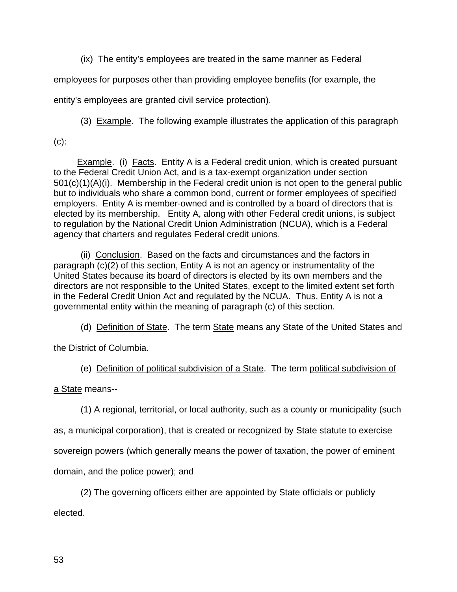(ix) The entity's employees are treated in the same manner as Federal

employees for purposes other than providing employee benefits (for example, the

entity's employees are granted civil service protection).

(3) Example. The following example illustrates the application of this paragraph

 $(c)$ :

 Example. (i) Facts. Entity A is a Federal credit union, which is created pursuant to the Federal Credit Union Act, and is a tax-exempt organization under section 501(c)(1)(A)(i). Membership in the Federal credit union is not open to the general public but to individuals who share a common bond, current or former employees of specified employers. Entity A is member-owned and is controlled by a board of directors that is elected by its membership. Entity A, along with other Federal credit unions, is subject to regulation by the National Credit Union Administration (NCUA), which is a Federal agency that charters and regulates Federal credit unions.

 (ii) Conclusion. Based on the facts and circumstances and the factors in paragraph (c)(2) of this section, Entity A is not an agency or instrumentality of the United States because its board of directors is elected by its own members and the directors are not responsible to the United States, except to the limited extent set forth in the Federal Credit Union Act and regulated by the NCUA. Thus, Entity A is not a governmental entity within the meaning of paragraph (c) of this section.

(d) Definition of State. The term State means any State of the United States and

the District of Columbia.

(e) Definition of political subdivision of a State. The term political subdivision of

a State means--

(1) A regional, territorial, or local authority, such as a county or municipality (such

as, a municipal corporation), that is created or recognized by State statute to exercise

sovereign powers (which generally means the power of taxation, the power of eminent

domain, and the police power); and

(2) The governing officers either are appointed by State officials or publicly elected.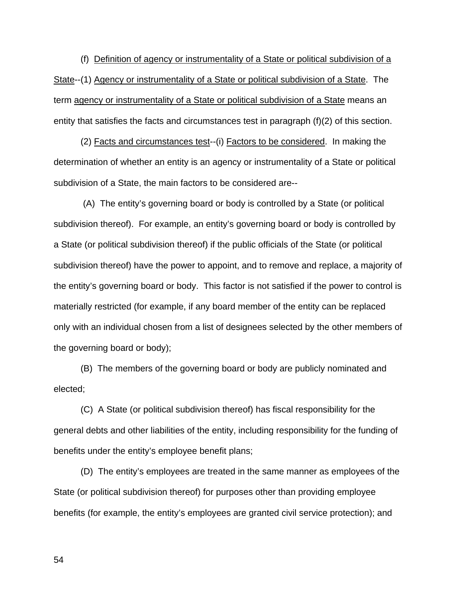(f) Definition of agency or instrumentality of a State or political subdivision of a State--(1) Agency or instrumentality of a State or political subdivision of a State. The term agency or instrumentality of a State or political subdivision of a State means an entity that satisfies the facts and circumstances test in paragraph (f)(2) of this section.

(2) Facts and circumstances test--(i) Factors to be considered. In making the determination of whether an entity is an agency or instrumentality of a State or political subdivision of a State, the main factors to be considered are--

 (A) The entity's governing board or body is controlled by a State (or political subdivision thereof). For example, an entity's governing board or body is controlled by a State (or political subdivision thereof) if the public officials of the State (or political subdivision thereof) have the power to appoint, and to remove and replace, a majority of the entity's governing board or body. This factor is not satisfied if the power to control is materially restricted (for example, if any board member of the entity can be replaced only with an individual chosen from a list of designees selected by the other members of the governing board or body);

(B) The members of the governing board or body are publicly nominated and elected;

(C) A State (or political subdivision thereof) has fiscal responsibility for the general debts and other liabilities of the entity, including responsibility for the funding of benefits under the entity's employee benefit plans;

(D) The entity's employees are treated in the same manner as employees of the State (or political subdivision thereof) for purposes other than providing employee benefits (for example, the entity's employees are granted civil service protection); and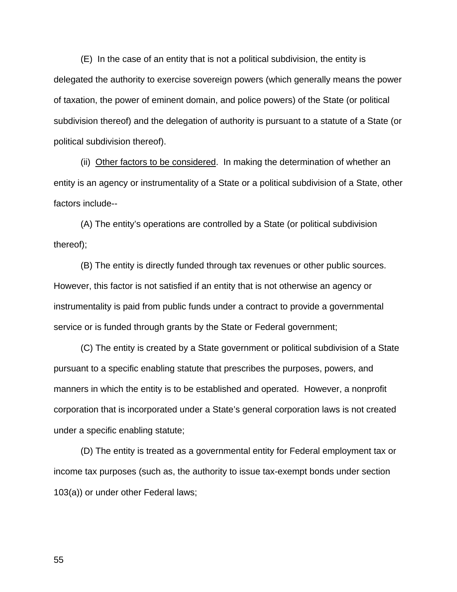(E) In the case of an entity that is not a political subdivision, the entity is delegated the authority to exercise sovereign powers (which generally means the power of taxation, the power of eminent domain, and police powers) of the State (or political subdivision thereof) and the delegation of authority is pursuant to a statute of a State (or political subdivision thereof).

(ii) Other factors to be considered. In making the determination of whether an entity is an agency or instrumentality of a State or a political subdivision of a State, other factors include--

(A) The entity's operations are controlled by a State (or political subdivision thereof);

(B) The entity is directly funded through tax revenues or other public sources. However, this factor is not satisfied if an entity that is not otherwise an agency or instrumentality is paid from public funds under a contract to provide a governmental service or is funded through grants by the State or Federal government;

(C) The entity is created by a State government or political subdivision of a State pursuant to a specific enabling statute that prescribes the purposes, powers, and manners in which the entity is to be established and operated. However, a nonprofit corporation that is incorporated under a State's general corporation laws is not created under a specific enabling statute;

(D) The entity is treated as a governmental entity for Federal employment tax or income tax purposes (such as, the authority to issue tax-exempt bonds under section 103(a)) or under other Federal laws;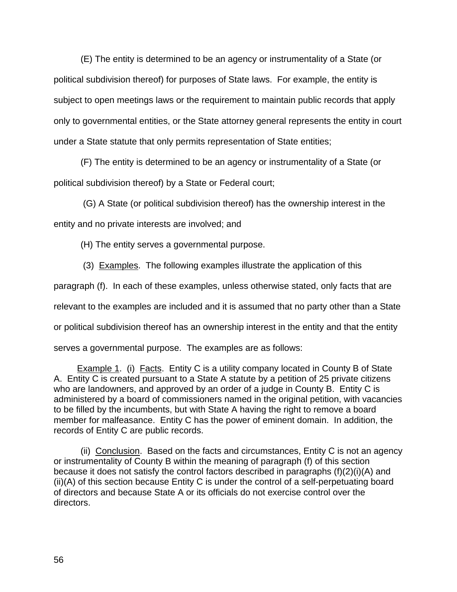(E) The entity is determined to be an agency or instrumentality of a State (or political subdivision thereof) for purposes of State laws. For example, the entity is subject to open meetings laws or the requirement to maintain public records that apply only to governmental entities, or the State attorney general represents the entity in court under a State statute that only permits representation of State entities;

(F) The entity is determined to be an agency or instrumentality of a State (or political subdivision thereof) by a State or Federal court;

 (G) A State (or political subdivision thereof) has the ownership interest in the entity and no private interests are involved; and

(H) The entity serves a governmental purpose.

(3) Examples. The following examples illustrate the application of this

paragraph (f). In each of these examples, unless otherwise stated, only facts that are

relevant to the examples are included and it is assumed that no party other than a State

or political subdivision thereof has an ownership interest in the entity and that the entity

serves a governmental purpose. The examples are as follows:

**Example 1.** (i) Facts. Entity C is a utility company located in County B of State A. Entity C is created pursuant to a State A statute by a petition of 25 private citizens who are landowners, and approved by an order of a judge in County B. Entity C is administered by a board of commissioners named in the original petition, with vacancies to be filled by the incumbents, but with State A having the right to remove a board member for malfeasance. Entity C has the power of eminent domain. In addition, the records of Entity C are public records.

 (ii) Conclusion. Based on the facts and circumstances, Entity C is not an agency or instrumentality of County B within the meaning of paragraph (f) of this section because it does not satisfy the control factors described in paragraphs (f)(2)(i)(A) and (ii)(A) of this section because Entity C is under the control of a self-perpetuating board of directors and because State A or its officials do not exercise control over the directors.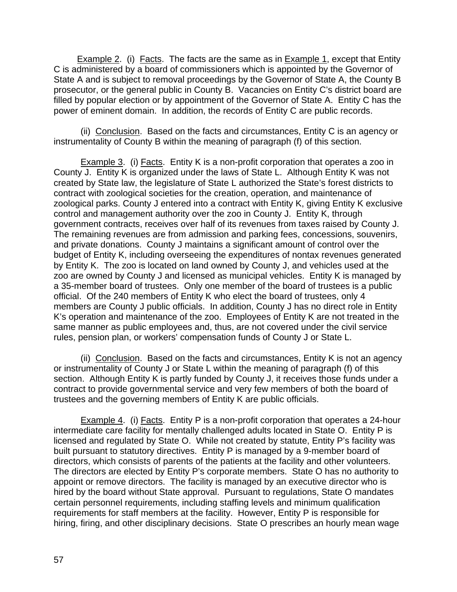Example 2. (i) Facts. The facts are the same as in Example 1, except that Entity C is administered by a board of commissioners which is appointed by the Governor of State A and is subject to removal proceedings by the Governor of State A, the County B prosecutor, or the general public in County B. Vacancies on Entity C's district board are filled by popular election or by appointment of the Governor of State A. Entity C has the power of eminent domain. In addition, the records of Entity C are public records.

 (ii) Conclusion. Based on the facts and circumstances, Entity C is an agency or instrumentality of County B within the meaning of paragraph (f) of this section.

Example 3. (i) Facts. Entity K is a non-profit corporation that operates a zoo in County J. Entity K is organized under the laws of State L. Although Entity K was not created by State law, the legislature of State L authorized the State's forest districts to contract with zoological societies for the creation, operation, and maintenance of zoological parks. County J entered into a contract with Entity K, giving Entity K exclusive control and management authority over the zoo in County J. Entity K, through government contracts, receives over half of its revenues from taxes raised by County J. The remaining revenues are from admission and parking fees, concessions, souvenirs, and private donations. County J maintains a significant amount of control over the budget of Entity K, including overseeing the expenditures of nontax revenues generated by Entity K. The zoo is located on land owned by County J, and vehicles used at the zoo are owned by County J and licensed as municipal vehicles. Entity K is managed by a 35-member board of trustees. Only one member of the board of trustees is a public official. Of the 240 members of Entity K who elect the board of trustees, only 4 members are County J public officials. In addition, County J has no direct role in Entity K's operation and maintenance of the zoo. Employees of Entity K are not treated in the same manner as public employees and, thus, are not covered under the civil service rules, pension plan, or workers' compensation funds of County J or State L.

(ii) Conclusion. Based on the facts and circumstances, Entity K is not an agency or instrumentality of County J or State L within the meaning of paragraph (f) of this section. Although Entity K is partly funded by County J, it receives those funds under a contract to provide governmental service and very few members of both the board of trustees and the governing members of Entity K are public officials.

Example 4. (i) Facts. Entity P is a non-profit corporation that operates a 24-hour intermediate care facility for mentally challenged adults located in State O. Entity P is licensed and regulated by State O. While not created by statute, Entity P's facility was built pursuant to statutory directives. Entity P is managed by a 9-member board of directors, which consists of parents of the patients at the facility and other volunteers. The directors are elected by Entity P's corporate members. State O has no authority to appoint or remove directors. The facility is managed by an executive director who is hired by the board without State approval. Pursuant to regulations, State O mandates certain personnel requirements, including staffing levels and minimum qualification requirements for staff members at the facility. However, Entity P is responsible for hiring, firing, and other disciplinary decisions. State O prescribes an hourly mean wage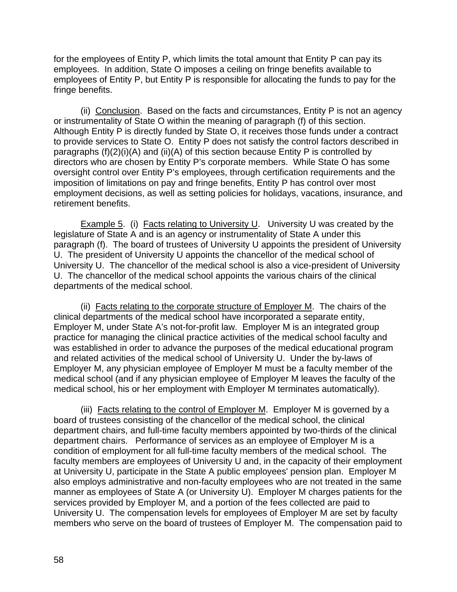for the employees of Entity P, which limits the total amount that Entity P can pay its employees. In addition, State O imposes a ceiling on fringe benefits available to employees of Entity P, but Entity P is responsible for allocating the funds to pay for the fringe benefits.

 (ii) Conclusion. Based on the facts and circumstances, Entity P is not an agency or instrumentality of State O within the meaning of paragraph (f) of this section. Although Entity P is directly funded by State O, it receives those funds under a contract to provide services to State O. Entity P does not satisfy the control factors described in paragraphs  $(f)(2)(i)(A)$  and  $(ii)(A)$  of this section because Entity P is controlled by directors who are chosen by Entity P's corporate members. While State O has some oversight control over Entity P's employees, through certification requirements and the imposition of limitations on pay and fringe benefits, Entity P has control over most employment decisions, as well as setting policies for holidays, vacations, insurance, and retirement benefits.

Example 5. (i) Facts relating to University U. University U was created by the legislature of State A and is an agency or instrumentality of State A under this paragraph (f). The board of trustees of University U appoints the president of University U. The president of University U appoints the chancellor of the medical school of University U. The chancellor of the medical school is also a vice-president of University U. The chancellor of the medical school appoints the various chairs of the clinical departments of the medical school.

(ii) Facts relating to the corporate structure of Employer M. The chairs of the clinical departments of the medical school have incorporated a separate entity, Employer M, under State A's not-for-profit law. Employer M is an integrated group practice for managing the clinical practice activities of the medical school faculty and was established in order to advance the purposes of the medical educational program and related activities of the medical school of University U. Under the by-laws of Employer M, any physician employee of Employer M must be a faculty member of the medical school (and if any physician employee of Employer M leaves the faculty of the medical school, his or her employment with Employer M terminates automatically).

(iii) Facts relating to the control of Employer M. Employer M is governed by a board of trustees consisting of the chancellor of the medical school, the clinical department chairs, and full-time faculty members appointed by two-thirds of the clinical department chairs. Performance of services as an employee of Employer M is a condition of employment for all full-time faculty members of the medical school. The faculty members are employees of University U and, in the capacity of their employment at University U, participate in the State A public employees' pension plan. Employer M also employs administrative and non-faculty employees who are not treated in the same manner as employees of State A (or University U). Employer M charges patients for the services provided by Employer M, and a portion of the fees collected are paid to University U. The compensation levels for employees of Employer M are set by faculty members who serve on the board of trustees of Employer M. The compensation paid to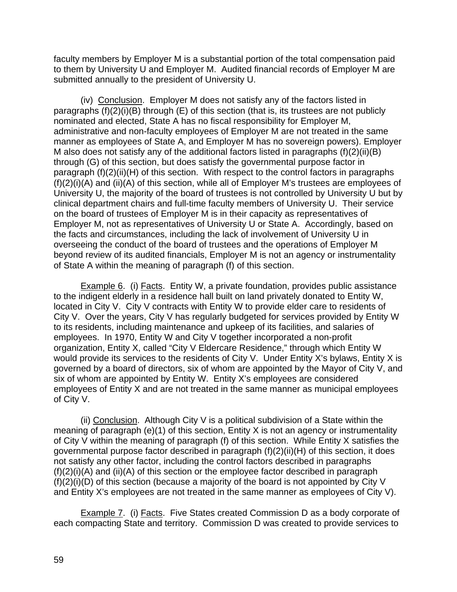faculty members by Employer M is a substantial portion of the total compensation paid to them by University U and Employer M. Audited financial records of Employer M are submitted annually to the president of University U.

 (iv) Conclusion. Employer M does not satisfy any of the factors listed in paragraphs (f)(2)(i)(B) through (E) of this section (that is, its trustees are not publicly nominated and elected, State A has no fiscal responsibility for Employer M, administrative and non-faculty employees of Employer M are not treated in the same manner as employees of State A, and Employer M has no sovereign powers). Employer M also does not satisfy any of the additional factors listed in paragraphs (f)(2)(ii)(B) through (G) of this section, but does satisfy the governmental purpose factor in paragraph (f)(2)(ii)(H) of this section. With respect to the control factors in paragraphs (f)(2)(i)(A) and (ii)(A) of this section, while all of Employer M's trustees are employees of University U, the majority of the board of trustees is not controlled by University U but by clinical department chairs and full-time faculty members of University U. Their service on the board of trustees of Employer M is in their capacity as representatives of Employer M, not as representatives of University U or State A. Accordingly, based on the facts and circumstances, including the lack of involvement of University U in overseeing the conduct of the board of trustees and the operations of Employer M beyond review of its audited financials, Employer M is not an agency or instrumentality of State A within the meaning of paragraph (f) of this section.

Example 6. (i) Facts. Entity W, a private foundation, provides public assistance to the indigent elderly in a residence hall built on land privately donated to Entity W, located in City V. City V contracts with Entity W to provide elder care to residents of City V. Over the years, City V has regularly budgeted for services provided by Entity W to its residents, including maintenance and upkeep of its facilities, and salaries of employees. In 1970, Entity W and City V together incorporated a non-profit organization, Entity X, called "City V Eldercare Residence," through which Entity W would provide its services to the residents of City V. Under Entity X's bylaws, Entity X is governed by a board of directors, six of whom are appointed by the Mayor of City V, and six of whom are appointed by Entity W. Entity X's employees are considered employees of Entity X and are not treated in the same manner as municipal employees of City V.

(ii) Conclusion. Although City V is a political subdivision of a State within the meaning of paragraph (e)(1) of this section, Entity X is not an agency or instrumentality of City V within the meaning of paragraph (f) of this section. While Entity X satisfies the governmental purpose factor described in paragraph (f)(2)(ii)(H) of this section, it does not satisfy any other factor, including the control factors described in paragraphs (f)(2)(i)(A) and (ii)(A) of this section or the employee factor described in paragraph (f)(2)(i)(D) of this section (because a majority of the board is not appointed by City V and Entity X's employees are not treated in the same manner as employees of City V).

Example 7. (i) Facts. Five States created Commission D as a body corporate of each compacting State and territory. Commission D was created to provide services to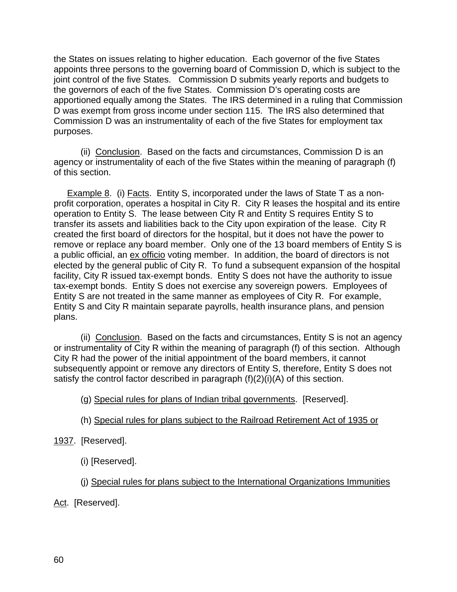the States on issues relating to higher education. Each governor of the five States appoints three persons to the governing board of Commission D, which is subject to the joint control of the five States. Commission D submits yearly reports and budgets to the governors of each of the five States. Commission D's operating costs are apportioned equally among the States. The IRS determined in a ruling that Commission D was exempt from gross income under section 115. The IRS also determined that Commission D was an instrumentality of each of the five States for employment tax purposes.

(ii) Conclusion. Based on the facts and circumstances, Commission D is an agency or instrumentality of each of the five States within the meaning of paragraph (f) of this section.

Example 8. (i) Facts. Entity S, incorporated under the laws of State T as a nonprofit corporation, operates a hospital in City R. City R leases the hospital and its entire operation to Entity S. The lease between City R and Entity S requires Entity S to transfer its assets and liabilities back to the City upon expiration of the lease. City R created the first board of directors for the hospital, but it does not have the power to remove or replace any board member. Only one of the 13 board members of Entity S is a public official, an ex officio voting member. In addition, the board of directors is not elected by the general public of City R. To fund a subsequent expansion of the hospital facility, City R issued tax-exempt bonds. Entity S does not have the authority to issue tax-exempt bonds. Entity S does not exercise any sovereign powers. Employees of Entity S are not treated in the same manner as employees of City R. For example, Entity S and City R maintain separate payrolls, health insurance plans, and pension plans.

(ii) Conclusion. Based on the facts and circumstances, Entity S is not an agency or instrumentality of City R within the meaning of paragraph (f) of this section. Although City R had the power of the initial appointment of the board members, it cannot subsequently appoint or remove any directors of Entity S, therefore, Entity S does not satisfy the control factor described in paragraph (f)(2)(i)(A) of this section.

(g) Special rules for plans of Indian tribal governments. [Reserved].

- (h) Special rules for plans subject to the Railroad Retirement Act of 1935 or
- 1937. [Reserved].
	- (i) [Reserved].

(j) Special rules for plans subject to the International Organizations Immunities

Act. [Reserved].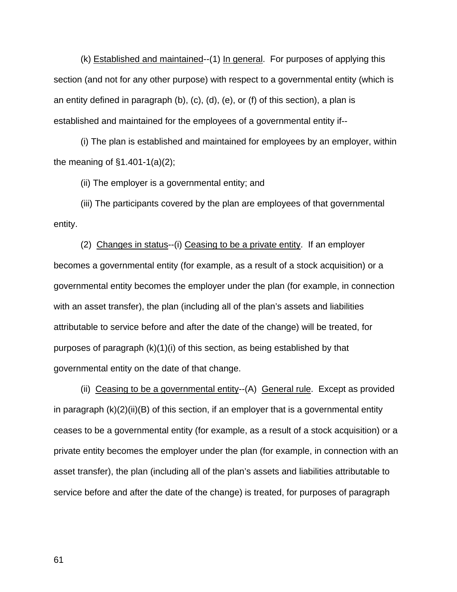(k) Established and maintained--(1) In general. For purposes of applying this section (and not for any other purpose) with respect to a governmental entity (which is an entity defined in paragraph (b), (c), (d), (e), or (f) of this section), a plan is established and maintained for the employees of a governmental entity if--

(i) The plan is established and maintained for employees by an employer, within the meaning of §1.401-1(a)(2);

(ii) The employer is a governmental entity; and

(iii) The participants covered by the plan are employees of that governmental entity.

(2) Changes in status--(i) Ceasing to be a private entity. If an employer becomes a governmental entity (for example, as a result of a stock acquisition) or a governmental entity becomes the employer under the plan (for example, in connection with an asset transfer), the plan (including all of the plan's assets and liabilities attributable to service before and after the date of the change) will be treated, for purposes of paragraph (k)(1)(i) of this section, as being established by that governmental entity on the date of that change.

(ii) Ceasing to be a governmental entity--(A) General rule. Except as provided in paragraph  $(k)(2)(ii)(B)$  of this section, if an employer that is a governmental entity ceases to be a governmental entity (for example, as a result of a stock acquisition) or a private entity becomes the employer under the plan (for example, in connection with an asset transfer), the plan (including all of the plan's assets and liabilities attributable to service before and after the date of the change) is treated, for purposes of paragraph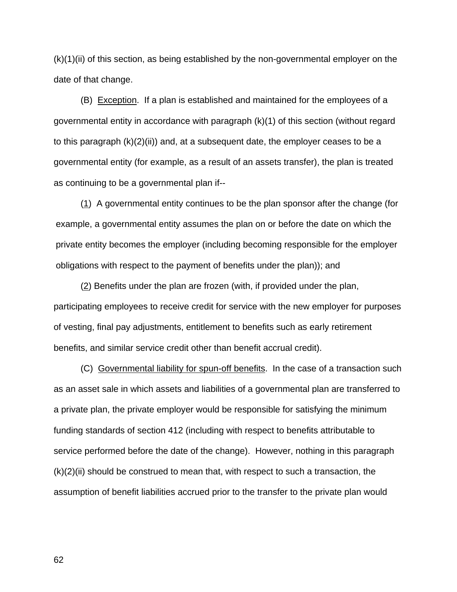(k)(1)(ii) of this section, as being established by the non-governmental employer on the date of that change.

(B) Exception. If a plan is established and maintained for the employees of a governmental entity in accordance with paragraph (k)(1) of this section (without regard to this paragraph  $(k)(2)(ii)$  and, at a subsequent date, the employer ceases to be a governmental entity (for example, as a result of an assets transfer), the plan is treated as continuing to be a governmental plan if--

(1) A governmental entity continues to be the plan sponsor after the change (for example, a governmental entity assumes the plan on or before the date on which the private entity becomes the employer (including becoming responsible for the employer obligations with respect to the payment of benefits under the plan)); and

(2) Benefits under the plan are frozen (with, if provided under the plan, participating employees to receive credit for service with the new employer for purposes of vesting, final pay adjustments, entitlement to benefits such as early retirement benefits, and similar service credit other than benefit accrual credit).

(C) Governmental liability for spun-off benefits. In the case of a transaction such as an asset sale in which assets and liabilities of a governmental plan are transferred to a private plan, the private employer would be responsible for satisfying the minimum funding standards of section 412 (including with respect to benefits attributable to service performed before the date of the change). However, nothing in this paragraph  $(k)(2)(ii)$  should be construed to mean that, with respect to such a transaction, the assumption of benefit liabilities accrued prior to the transfer to the private plan would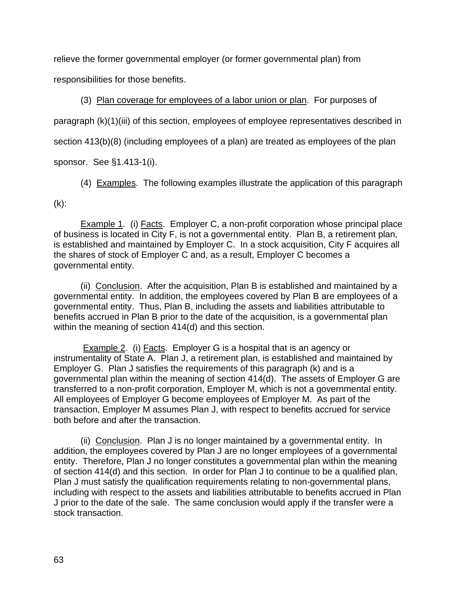relieve the former governmental employer (or former governmental plan) from

responsibilities for those benefits.

(3) Plan coverage for employees of a labor union or plan. For purposes of

paragraph (k)(1)(iii) of this section, employees of employee representatives described in

section 413(b)(8) (including employees of a plan) are treated as employees of the plan

sponsor. See §1.413-1(i).

(4) Examples. The following examples illustrate the application of this paragraph

 $(k)$ :

**Example 1.** (i) Facts. Employer C, a non-profit corporation whose principal place of business is located in City F, is not a governmental entity. Plan B, a retirement plan, is established and maintained by Employer C. In a stock acquisition, City F acquires all the shares of stock of Employer C and, as a result, Employer C becomes a governmental entity.

(ii) Conclusion. After the acquisition, Plan B is established and maintained by a governmental entity. In addition, the employees covered by Plan B are employees of a governmental entity. Thus, Plan B, including the assets and liabilities attributable to benefits accrued in Plan B prior to the date of the acquisition, is a governmental plan within the meaning of section 414(d) and this section.

Example 2. (i) Facts. Employer G is a hospital that is an agency or instrumentality of State A. Plan J, a retirement plan, is established and maintained by Employer G. Plan J satisfies the requirements of this paragraph (k) and is a governmental plan within the meaning of section 414(d). The assets of Employer G are transferred to a non-profit corporation, Employer M, which is not a governmental entity. All employees of Employer G become employees of Employer M. As part of the transaction, Employer M assumes Plan J, with respect to benefits accrued for service both before and after the transaction.

(ii) Conclusion. Plan J is no longer maintained by a governmental entity. In addition, the employees covered by Plan J are no longer employees of a governmental entity. Therefore, Plan J no longer constitutes a governmental plan within the meaning of section 414(d) and this section. In order for Plan J to continue to be a qualified plan, Plan J must satisfy the qualification requirements relating to non-governmental plans, including with respect to the assets and liabilities attributable to benefits accrued in Plan J prior to the date of the sale. The same conclusion would apply if the transfer were a stock transaction.